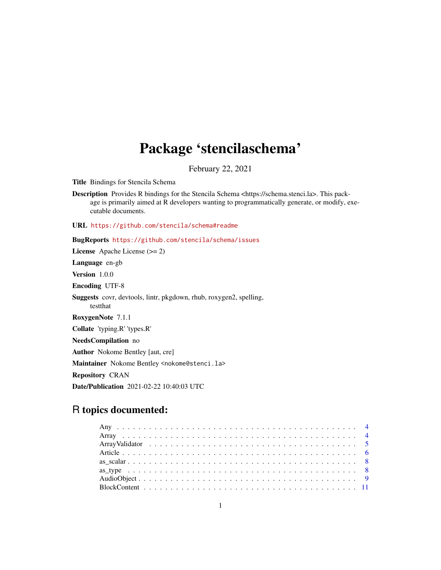# Package 'stencilaschema'

February 22, 2021

Title Bindings for Stencila Schema

Description Provides R bindings for the Stencila Schema <https://schema.stenci.la>. This package is primarily aimed at R developers wanting to programmatically generate, or modify, executable documents.

URL <https://github.com/stencila/schema#readme>

# BugReports <https://github.com/stencila/schema/issues>

License Apache License (>= 2) Language en-gb Version 1.0.0 Encoding UTF-8 Suggests covr, devtools, lintr, pkgdown, rhub, roxygen2, spelling, testthat RoxygenNote 7.1.1 Collate 'typing.R' 'types.R' NeedsCompilation no Author Nokome Bentley [aut, cre] Maintainer Nokome Bentley <nokome@stenci.la> Repository CRAN Date/Publication 2021-02-22 10:40:03 UTC

# R topics documented: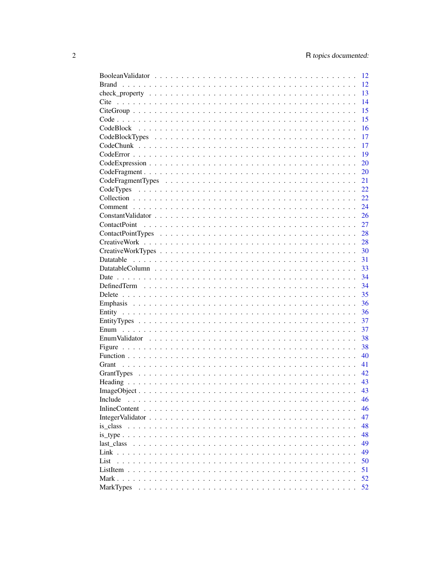|                                                                                                             | 12    |
|-------------------------------------------------------------------------------------------------------------|-------|
| <b>Brand</b>                                                                                                | 12    |
|                                                                                                             | 13    |
| Cite                                                                                                        | 14    |
| $CiteGroup \dots \dots \dots \dots \dots \dots \dots \dots \dots \dots \dots \dots \dots \dots \dots \dots$ | 15    |
|                                                                                                             | 15    |
|                                                                                                             | 16    |
|                                                                                                             | 17    |
|                                                                                                             | 17    |
|                                                                                                             | 19    |
|                                                                                                             | 20    |
|                                                                                                             | 20    |
|                                                                                                             | 21    |
|                                                                                                             | 22    |
|                                                                                                             | 22    |
|                                                                                                             |       |
|                                                                                                             | 24    |
|                                                                                                             | 26    |
|                                                                                                             | 27    |
|                                                                                                             |       |
|                                                                                                             |       |
|                                                                                                             | $-30$ |
|                                                                                                             | 31    |
|                                                                                                             | 33    |
|                                                                                                             | 34    |
|                                                                                                             | 34    |
|                                                                                                             | 35    |
|                                                                                                             | 36    |
|                                                                                                             | 36    |
|                                                                                                             | 37    |
|                                                                                                             | 37    |
|                                                                                                             | 38    |
|                                                                                                             | 38    |
|                                                                                                             | 40    |
|                                                                                                             | 41    |
|                                                                                                             | 42    |
|                                                                                                             | 43    |
| $ImageObject \ldots \ldots \ldots \ldots \ldots \ldots \ldots \ldots \ldots \ldots \ldots \ldots \ldots$    | 43    |
| Include                                                                                                     | 46    |
|                                                                                                             | 46    |
|                                                                                                             |       |
|                                                                                                             | 47    |
| is_class                                                                                                    | 48    |
|                                                                                                             | 48    |
|                                                                                                             | 49    |
|                                                                                                             | 49    |
| List                                                                                                        | 50    |
|                                                                                                             | 51    |
|                                                                                                             | 52    |
| <b>MarkTypes</b>                                                                                            | 52    |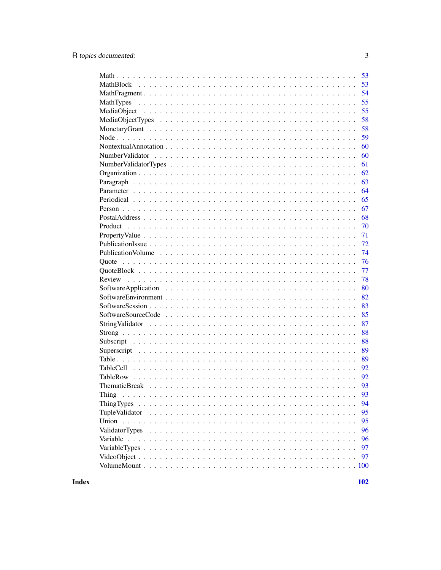| 53                   |
|----------------------|
| 53                   |
| 54                   |
| 55<br>MathTypes      |
| 55                   |
| 58                   |
| 58                   |
| 59                   |
| 60                   |
| 60                   |
| 61                   |
| 62                   |
| 63                   |
| 64                   |
| 65                   |
| 67                   |
| 68                   |
| 70                   |
| 71                   |
| 72                   |
| 74                   |
| 76                   |
| 77                   |
| 78                   |
| 80                   |
| 82                   |
| 83                   |
| 85                   |
| 87                   |
| 88                   |
| 88                   |
| 89                   |
| 89                   |
| 92                   |
| 92                   |
| 93                   |
|                      |
| Thing<br>93          |
| 94                   |
| TupleValidator<br>95 |
| 95                   |
| ValidatorTypes<br>96 |
| 96                   |
| 97                   |
| 97                   |
| .100                 |

**Index**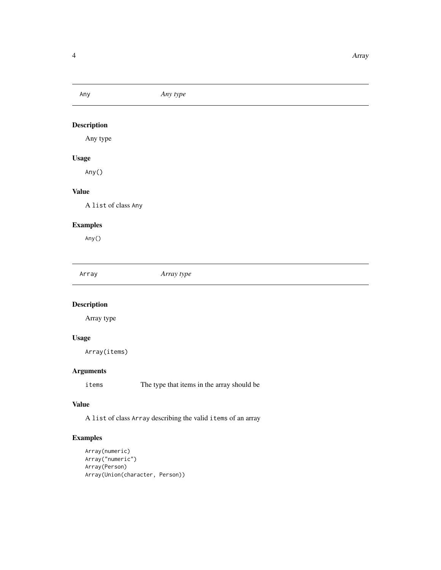<span id="page-3-0"></span>

Any type

# Usage

Any()

#### Value

A list of class Any

#### Examples

Any()

Array *Array type*

# Description

Array type

#### Usage

Array(items)

#### Arguments

items The type that items in the array should be

#### Value

A list of class Array describing the valid items of an array

#### Examples

```
Array(numeric)
Array("numeric")
Array(Person)
Array(Union(character, Person))
```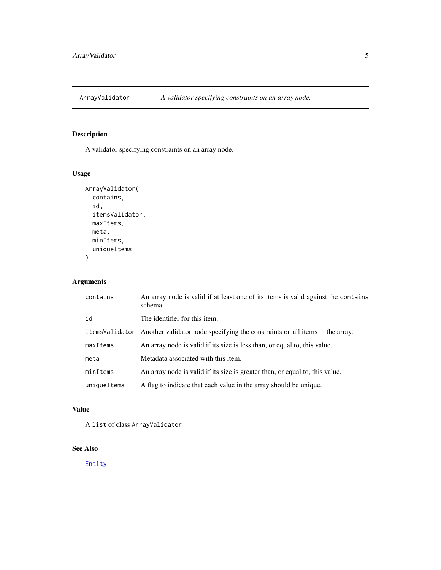<span id="page-4-0"></span>

A validator specifying constraints on an array node.

#### Usage

```
ArrayValidator(
  contains,
  id,
  itemsValidator,
  maxItems,
  meta,
  minItems,
  uniqueItems
\overline{\phantom{a}}
```
# Arguments

| contains    | An array node is valid if at least one of its items is valid against the contains<br>schema. |
|-------------|----------------------------------------------------------------------------------------------|
| id          | The identifier for this item.                                                                |
|             | items Validator Another validator node specifying the constraints on all items in the array. |
| maxItems    | An array node is valid if its size is less than, or equal to, this value.                    |
| meta        | Metadata associated with this item.                                                          |
| minItems    | An array node is valid if its size is greater than, or equal to, this value.                 |
| uniqueItems | A flag to indicate that each value in the array should be unique.                            |

# Value

A list of class ArrayValidator

#### See Also

[Entity](#page-35-1)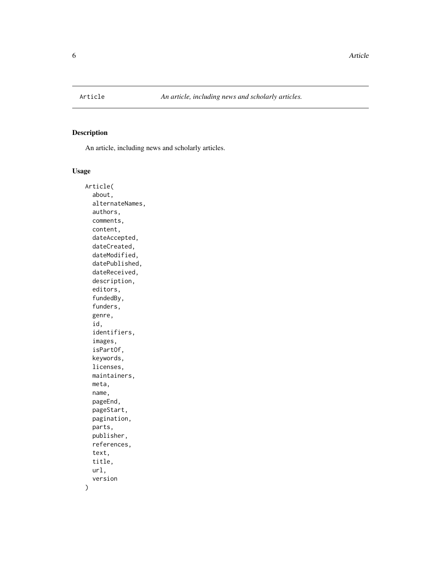<span id="page-5-0"></span>

An article, including news and scholarly articles.

#### Usage

Article( about, alternateNames, authors, comments, content, dateAccepted, dateCreated, dateModified, datePublished, dateReceived, description, editors, fundedBy, funders, genre, id, identifiers, images, isPartOf, keywords, licenses, maintainers, meta, name, pageEnd, pageStart, pagination, parts, publisher, references, text, title, url, version  $\mathcal{E}$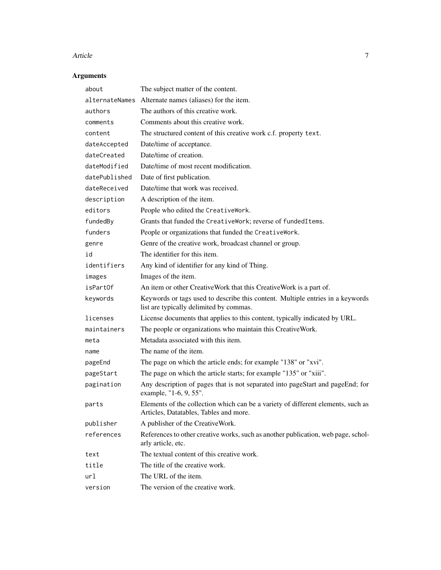#### Article **7**

# Arguments

| about          | The subject matter of the content.                                                                                         |
|----------------|----------------------------------------------------------------------------------------------------------------------------|
| alternateNames | Alternate names (aliases) for the item.                                                                                    |
| authors        | The authors of this creative work.                                                                                         |
| comments       | Comments about this creative work.                                                                                         |
| content        | The structured content of this creative work c.f. property text.                                                           |
| dateAccepted   | Date/time of acceptance.                                                                                                   |
| dateCreated    | Date/time of creation.                                                                                                     |
| dateModified   | Date/time of most recent modification.                                                                                     |
| datePublished  | Date of first publication.                                                                                                 |
| dateReceived   | Date/time that work was received.                                                                                          |
| description    | A description of the item.                                                                                                 |
| editors        | People who edited the CreativeWork.                                                                                        |
| fundedBy       | Grants that funded the CreativeWork; reverse of fundedItems.                                                               |
| funders        | People or organizations that funded the CreativeWork.                                                                      |
| genre          | Genre of the creative work, broadcast channel or group.                                                                    |
| id             | The identifier for this item.                                                                                              |
| identifiers    | Any kind of identifier for any kind of Thing.                                                                              |
| images         | Images of the item.                                                                                                        |
| isPartOf       | An item or other CreativeWork that this CreativeWork is a part of.                                                         |
| keywords       | Keywords or tags used to describe this content. Multiple entries in a keywords<br>list are typically delimited by commas.  |
| licenses       | License documents that applies to this content, typically indicated by URL.                                                |
| maintainers    | The people or organizations who maintain this CreativeWork.                                                                |
| meta           | Metadata associated with this item.                                                                                        |
| name           | The name of the item.                                                                                                      |
| pageEnd        | The page on which the article ends; for example "138" or "xvi".                                                            |
| pageStart      | The page on which the article starts; for example "135" or "xiii".                                                         |
| pagination     | Any description of pages that is not separated into pageStart and pageEnd; for<br>example, "1-6, 9, 55".                   |
| parts          | Elements of the collection which can be a variety of different elements, such as<br>Articles, Datatables, Tables and more. |
| publisher      | A publisher of the CreativeWork.                                                                                           |
| references     | References to other creative works, such as another publication, web page, schol-<br>arly article, etc.                    |
| text           | The textual content of this creative work.                                                                                 |
| title          | The title of the creative work.                                                                                            |
| url            | The URL of the item.                                                                                                       |
| version        | The version of the creative work.                                                                                          |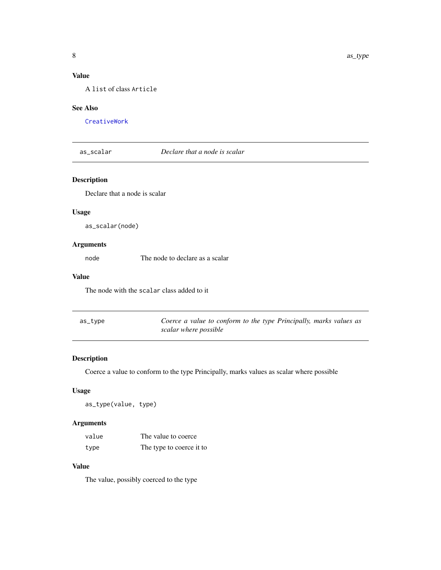# <span id="page-7-0"></span>Value

A list of class Article

#### See Also

[CreativeWork](#page-27-1)

as\_scalar *Declare that a node is scalar*

# Description

Declare that a node is scalar

#### Usage

as\_scalar(node)

#### Arguments

node The node to declare as a scalar

#### Value

The node with the scalar class added to it

| as_type | Coerce a value to conform to the type Principally, marks values as |
|---------|--------------------------------------------------------------------|
|         | scalar where possible                                              |

# Description

Coerce a value to conform to the type Principally, marks values as scalar where possible

#### Usage

as\_type(value, type)

#### Arguments

| value | The value to coerce      |
|-------|--------------------------|
| type  | The type to coerce it to |

#### Value

The value, possibly coerced to the type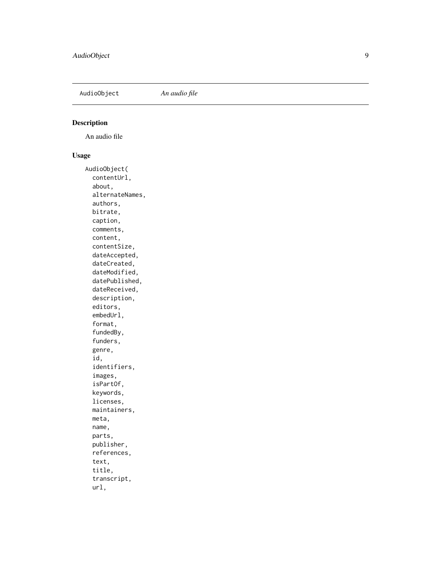<span id="page-8-0"></span>AudioObject *An audio file*

# Description

An audio file

#### Usage

AudioObject( contentUrl, about, alternateNames, authors, bitrate, caption, comments, content, contentSize, dateAccepted, dateCreated, dateModified, datePublished, dateReceived, description, editors, embedUrl, format, fundedBy, funders, genre, id, identifiers, images, isPartOf, keywords, licenses, maintainers, meta, name, parts, publisher, references, text, title, transcript, url,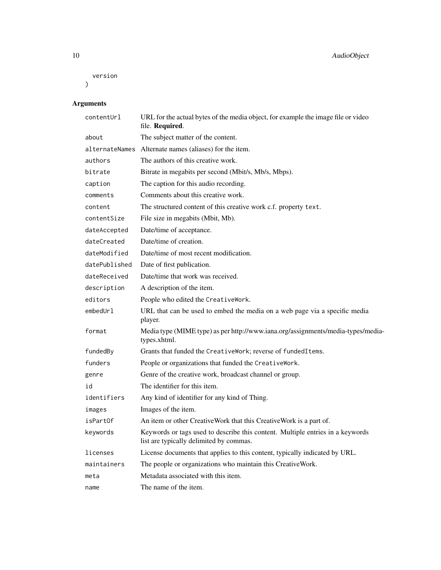```
version
)
```
# Arguments

| contentUrl     | URL for the actual bytes of the media object, for example the image file or video<br>file. Required.                      |
|----------------|---------------------------------------------------------------------------------------------------------------------------|
| about          | The subject matter of the content.                                                                                        |
| alternateNames | Alternate names (aliases) for the item.                                                                                   |
| authors        | The authors of this creative work.                                                                                        |
| bitrate        | Bitrate in megabits per second (Mbit/s, Mb/s, Mbps).                                                                      |
| caption        | The caption for this audio recording.                                                                                     |
| comments       | Comments about this creative work.                                                                                        |
| content        | The structured content of this creative work c.f. property text.                                                          |
| contentSize    | File size in megabits (Mbit, Mb).                                                                                         |
| dateAccepted   | Date/time of acceptance.                                                                                                  |
| dateCreated    | Date/time of creation.                                                                                                    |
| dateModified   | Date/time of most recent modification.                                                                                    |
| datePublished  | Date of first publication.                                                                                                |
| dateReceived   | Date/time that work was received.                                                                                         |
| description    | A description of the item.                                                                                                |
| editors        | People who edited the CreativeWork.                                                                                       |
| embedUr1       | URL that can be used to embed the media on a web page via a specific media<br>player.                                     |
| format         | Media type (MIME type) as per http://www.iana.org/assignments/media-types/media-<br>types.xhtml.                          |
| fundedBy       | Grants that funded the CreativeWork; reverse of fundedItems.                                                              |
| funders        | People or organizations that funded the CreativeWork.                                                                     |
| genre          | Genre of the creative work, broadcast channel or group.                                                                   |
| id             | The identifier for this item.                                                                                             |
| identifiers    | Any kind of identifier for any kind of Thing.                                                                             |
| images         | Images of the item.                                                                                                       |
| isPartOf       | An item or other CreativeWork that this CreativeWork is a part of.                                                        |
| keywords       | Keywords or tags used to describe this content. Multiple entries in a keywords<br>list are typically delimited by commas. |
| licenses       | License documents that applies to this content, typically indicated by URL.                                               |
| maintainers    | The people or organizations who maintain this CreativeWork.                                                               |
| meta           | Metadata associated with this item.                                                                                       |
| name           | The name of the item.                                                                                                     |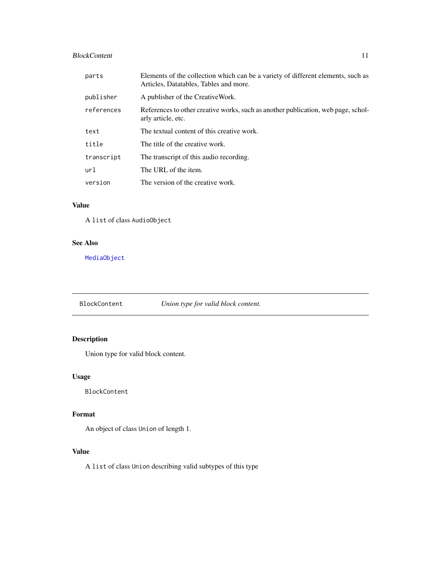# <span id="page-10-0"></span>BlockContent 11

| parts      | Elements of the collection which can be a variety of different elements, such as<br>Articles, Datatables, Tables and more. |
|------------|----------------------------------------------------------------------------------------------------------------------------|
| publisher  | A publisher of the CreativeWork.                                                                                           |
| references | References to other creative works, such as another publication, web page, schol-<br>arly article, etc.                    |
| text       | The textual content of this creative work.                                                                                 |
| title      | The title of the creative work.                                                                                            |
| transcript | The transcript of this audio recording.                                                                                    |
| ur1        | The URL of the item.                                                                                                       |
| version    | The version of the creative work.                                                                                          |

#### Value

A list of class AudioObject

#### See Also

[MediaObject](#page-54-1)

BlockContent *Union type for valid block content.*

# Description

Union type for valid block content.

#### Usage

BlockContent

#### Format

An object of class Union of length 1.

# Value

A list of class Union describing valid subtypes of this type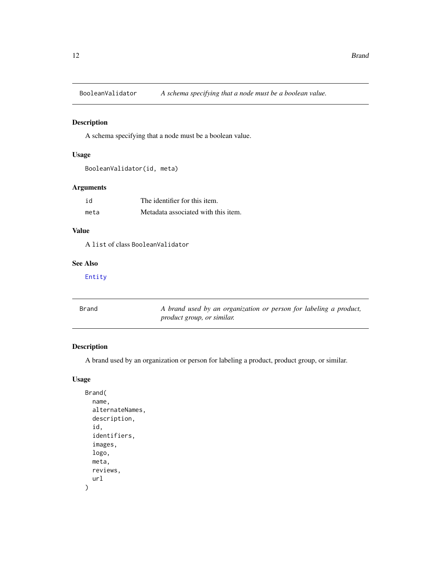<span id="page-11-0"></span>BooleanValidator *A schema specifying that a node must be a boolean value.*

#### Description

A schema specifying that a node must be a boolean value.

#### Usage

```
BooleanValidator(id, meta)
```
#### Arguments

| id   | The identifier for this item.       |
|------|-------------------------------------|
| meta | Metadata associated with this item. |

# Value

A list of class BooleanValidator

# See Also

#### [Entity](#page-35-1)

| Brand | A brand used by an organization or person for labeling a product, |
|-------|-------------------------------------------------------------------|
|       | <i>product group, or similar.</i>                                 |

#### Description

A brand used by an organization or person for labeling a product, product group, or similar.

#### Usage

```
Brand(
  name,
  alternateNames,
  description,
  id,
  identifiers,
  images,
  logo,
  meta,
  reviews,
  url
\mathcal{E}
```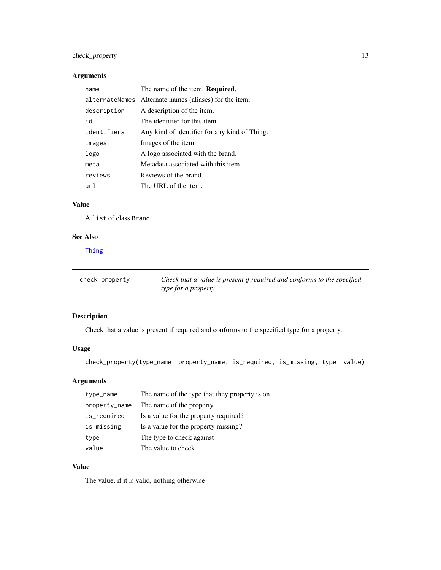# <span id="page-12-0"></span>check\_property 13

### Arguments

| name        | The name of the item. Required.                        |
|-------------|--------------------------------------------------------|
|             | alternateNames Alternate names (aliases) for the item. |
| description | A description of the item.                             |
| id          | The identifier for this item.                          |
| identifiers | Any kind of identifier for any kind of Thing.          |
| images      | Images of the item.                                    |
| logo        | A logo associated with the brand.                      |
| meta        | Metadata associated with this item.                    |
| reviews     | Reviews of the brand.                                  |
| ur1         | The URL of the item.                                   |

# Value

A list of class Brand

#### See Also

[Thing](#page-92-1)

| check_property | Check that a value is present if required and conforms to the specified |
|----------------|-------------------------------------------------------------------------|
|                | <i>type for a property.</i>                                             |

# Description

Check that a value is present if required and conforms to the specified type for a property.

# Usage

```
check_property(type_name, property_name, is_required, is_missing, type, value)
```
# Arguments

| type_name     | The name of the type that they property is on |
|---------------|-----------------------------------------------|
| property_name | The name of the property                      |
| is_required   | Is a value for the property required?         |
| is_missing    | Is a value for the property missing?          |
| type          | The type to check against                     |
| value         | The value to check                            |

#### Value

The value, if it is valid, nothing otherwise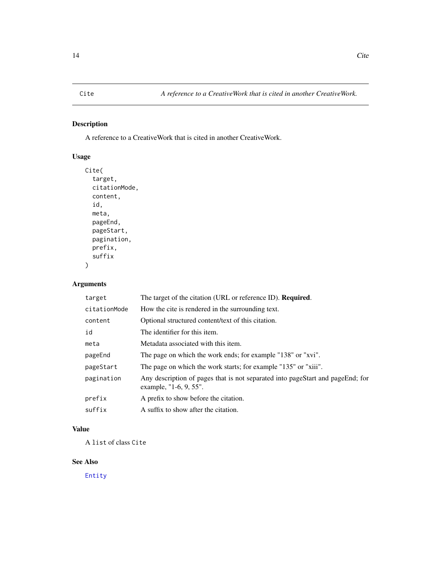<span id="page-13-0"></span>A reference to a CreativeWork that is cited in another CreativeWork.

# Usage

```
Cite(
  target,
  citationMode,
  content,
  id,
  meta,
  pageEnd,
  pageStart,
  pagination,
  prefix,
  suffix
)
```
#### Arguments

| target       | The target of the citation (URL or reference ID). Required.                                              |
|--------------|----------------------------------------------------------------------------------------------------------|
| citationMode | How the cite is rendered in the surrounding text.                                                        |
| content      | Optional structured content/text of this citation.                                                       |
| id           | The identifier for this item.                                                                            |
| meta         | Metadata associated with this item.                                                                      |
| pageEnd      | The page on which the work ends; for example "138" or "xvi".                                             |
| pageStart    | The page on which the work starts; for example "135" or "xiii".                                          |
| pagination   | Any description of pages that is not separated into pageStart and pageEnd; for<br>example, "1-6, 9, 55". |
| prefix       | A prefix to show before the citation.                                                                    |
| suffix       | A suffix to show after the citation.                                                                     |
|              |                                                                                                          |

# Value

A list of class Cite

#### See Also

[Entity](#page-35-1)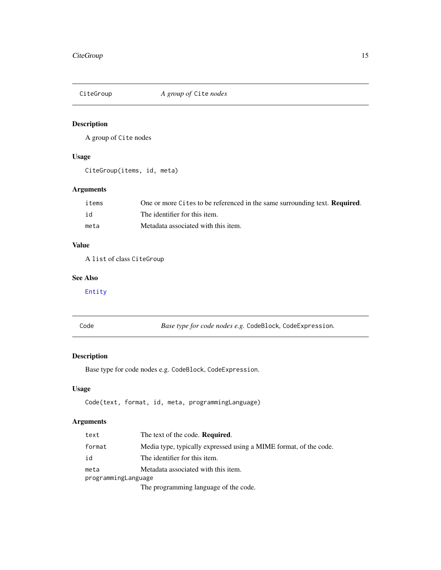<span id="page-14-0"></span>

A group of Cite nodes

#### Usage

CiteGroup(items, id, meta)

#### Arguments

| items | One or more Cites to be referenced in the same surrounding text. <b>Required.</b> |
|-------|-----------------------------------------------------------------------------------|
| id    | The identifier for this item.                                                     |
| meta  | Metadata associated with this item.                                               |

# Value

A list of class CiteGroup

# See Also

[Entity](#page-35-1)

<span id="page-14-1"></span>

| .,<br>٧<br>×<br>۰.<br>× |
|-------------------------|
|-------------------------|

Code *Base type for code nodes e.g.* CodeBlock*,* CodeExpression*.*

# Description

Base type for code nodes e.g. CodeBlock, CodeExpression.

#### Usage

Code(text, format, id, meta, programmingLanguage)

#### Arguments

| text                | The text of the code. <b>Required.</b>                            |  |
|---------------------|-------------------------------------------------------------------|--|
| format              | Media type, typically expressed using a MIME format, of the code. |  |
| id                  | The identifier for this item.                                     |  |
| meta                | Metadata associated with this item.                               |  |
| programmingLanguage |                                                                   |  |
|                     | The programming language of the code.                             |  |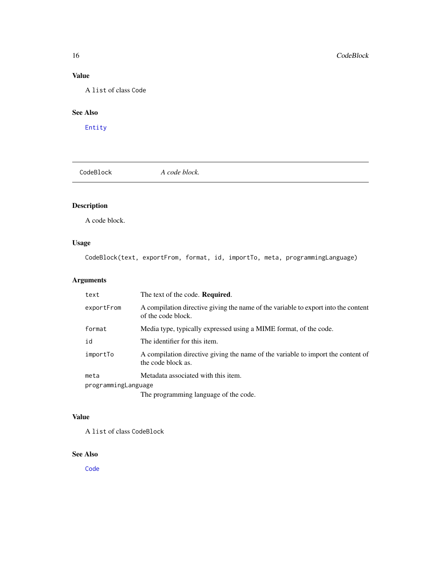# Value

A list of class Code

# See Also

[Entity](#page-35-1)

<span id="page-15-1"></span>CodeBlock *A code block.*

# Description

A code block.

# Usage

CodeBlock(text, exportFrom, format, id, importTo, meta, programmingLanguage)

# Arguments

| text                | The text of the code. Required.                                                                          |
|---------------------|----------------------------------------------------------------------------------------------------------|
| exportFrom          | A compilation directive giving the name of the variable to export into the content<br>of the code block. |
| format              | Media type, typically expressed using a MIME format, of the code.                                        |
| id                  | The identifier for this item.                                                                            |
| importTo            | A compilation directive giving the name of the variable to import the content of<br>the code block as.   |
| meta                | Metadata associated with this item.                                                                      |
| programmingLanguage |                                                                                                          |
|                     | The programming language of the code.                                                                    |

#### Value

A list of class CodeBlock

#### See Also

[Code](#page-14-1)

<span id="page-15-0"></span>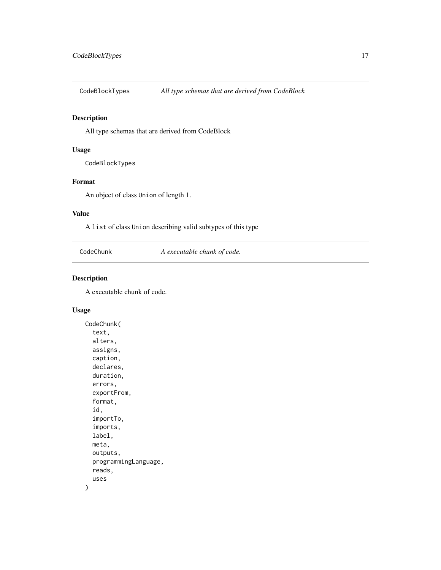<span id="page-16-0"></span>CodeBlockTypes *All type schemas that are derived from CodeBlock*

#### Description

All type schemas that are derived from CodeBlock

#### Usage

CodeBlockTypes

#### Format

An object of class Union of length 1.

#### Value

A list of class Union describing valid subtypes of this type

CodeChunk *A executable chunk of code.*

#### Description

A executable chunk of code.

#### Usage

```
CodeChunk(
  text,
  alters,
  assigns,
  caption,
  declares,
  duration,
  errors,
  exportFrom,
  format,
  id,
  importTo,
  imports,
  label,
  meta,
  outputs,
 programmingLanguage,
  reads,
  uses
)
```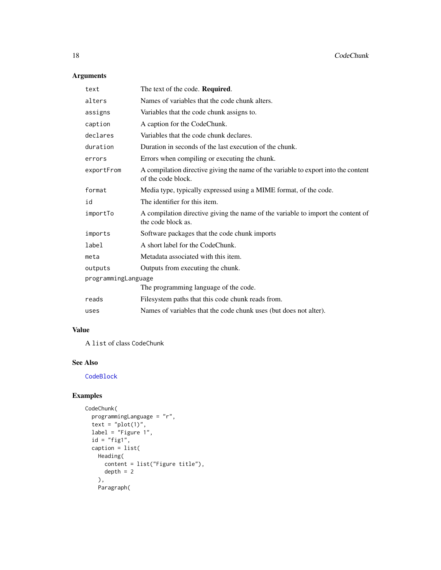# Arguments

| text                | The text of the code. Required.                                                                          |  |
|---------------------|----------------------------------------------------------------------------------------------------------|--|
| alters              | Names of variables that the code chunk alters.                                                           |  |
| assigns             | Variables that the code chunk assigns to.                                                                |  |
| caption             | A caption for the CodeChunk.                                                                             |  |
| declares            | Variables that the code chunk declares.                                                                  |  |
| duration            | Duration in seconds of the last execution of the chunk.                                                  |  |
| errors              | Errors when compiling or executing the chunk.                                                            |  |
| exportFrom          | A compilation directive giving the name of the variable to export into the content<br>of the code block. |  |
| format              | Media type, typically expressed using a MIME format, of the code.                                        |  |
| id                  | The identifier for this item.                                                                            |  |
| importTo            | A compilation directive giving the name of the variable to import the content of<br>the code block as.   |  |
| imports             | Software packages that the code chunk imports                                                            |  |
| label               | A short label for the CodeChunk.                                                                         |  |
| meta                | Metadata associated with this item.                                                                      |  |
| outputs             | Outputs from executing the chunk.                                                                        |  |
| programmingLanguage |                                                                                                          |  |
|                     | The programming language of the code.                                                                    |  |
| reads               | Filesystem paths that this code chunk reads from.                                                        |  |
| uses                | Names of variables that the code chunk uses (but does not alter).                                        |  |

#### Value

A list of class CodeChunk

# See Also

**[CodeBlock](#page-15-1)** 

### Examples

```
CodeChunk(
 programmingLanguage = "r",
  text = "plot(1)",
  label = "Figure 1",id = "fig1",caption = list(
   Heading(
     content = list("Figure title"),
     depth = 2),
   Paragraph(
```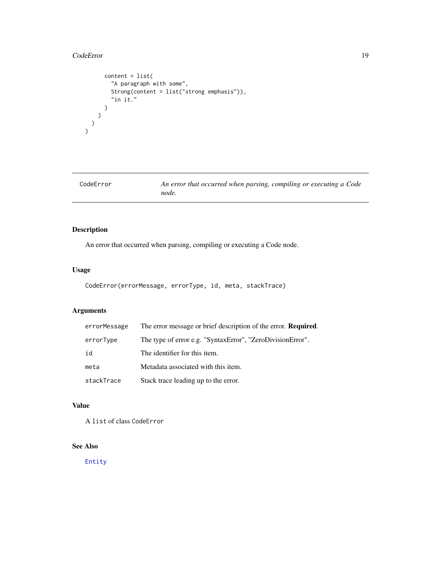#### <span id="page-18-0"></span>CodeError 19

```
content = list(
        "A paragraph with some",
        Strong(content = list("strong emphasis")),
        "in it."
     )
   \big))
\lambda
```

| CodeError | An error that occurred when parsing, compiling or executing a Code |
|-----------|--------------------------------------------------------------------|
|           | node.                                                              |

# Description

An error that occurred when parsing, compiling or executing a Code node.

#### Usage

```
CodeError(errorMessage, errorType, id, meta, stackTrace)
```
# Arguments

| errorMessage | The error message or brief description of the error. <b>Required.</b> |
|--------------|-----------------------------------------------------------------------|
| errorType    | The type of error e.g. "SyntaxError", "ZeroDivisionError".            |
| id           | The identifier for this item.                                         |
| meta         | Metadata associated with this item.                                   |
| stackTrace   | Stack trace leading up to the error.                                  |

# Value

A list of class CodeError

# See Also

[Entity](#page-35-1)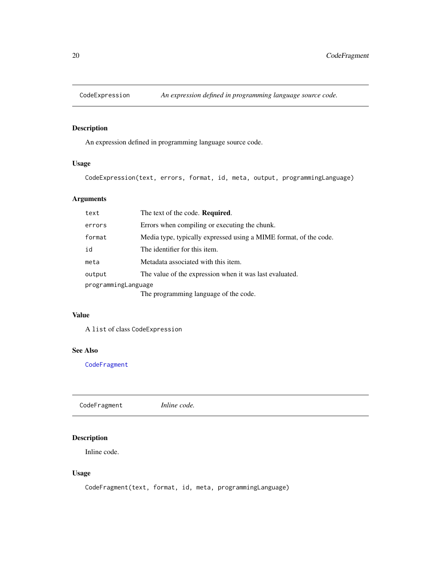<span id="page-19-0"></span>

An expression defined in programming language source code.

#### Usage

CodeExpression(text, errors, format, id, meta, output, programmingLanguage)

# Arguments

| text                | The text of the code. <b>Required.</b>                            |  |
|---------------------|-------------------------------------------------------------------|--|
| errors              | Errors when compiling or executing the chunk.                     |  |
| format              | Media type, typically expressed using a MIME format, of the code. |  |
| id                  | The identifier for this item.                                     |  |
| meta                | Metadata associated with this item.                               |  |
| output              | The value of the expression when it was last evaluated.           |  |
| programmingLanguage |                                                                   |  |
|                     | The programming language of the code.                             |  |

#### Value

A list of class CodeExpression

#### See Also

**[CodeFragment](#page-19-1)** 

<span id="page-19-1"></span>CodeFragment *Inline code.*

#### Description

Inline code.

#### Usage

CodeFragment(text, format, id, meta, programmingLanguage)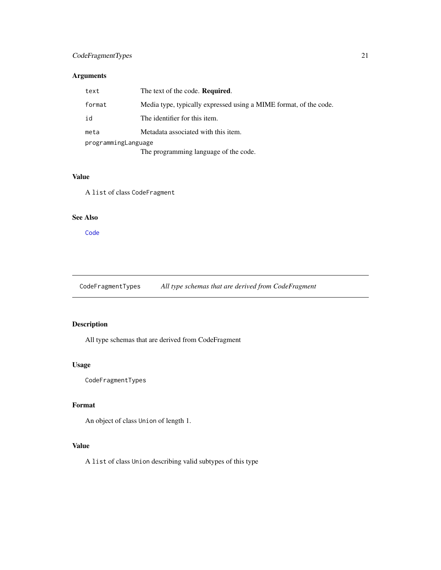#### <span id="page-20-0"></span>CodeFragmentTypes 21

### Arguments

| text                | The text of the code. <b>Required.</b>                            |  |
|---------------------|-------------------------------------------------------------------|--|
| format              | Media type, typically expressed using a MIME format, of the code. |  |
| id                  | The identifier for this item.                                     |  |
| meta                | Metadata associated with this item.                               |  |
| programmingLanguage |                                                                   |  |
|                     | The programming language of the code.                             |  |

#### Value

A list of class CodeFragment

#### See Also

[Code](#page-14-1)

CodeFragmentTypes *All type schemas that are derived from CodeFragment*

# Description

All type schemas that are derived from CodeFragment

#### Usage

CodeFragmentTypes

#### Format

An object of class Union of length 1.

# Value

A list of class Union describing valid subtypes of this type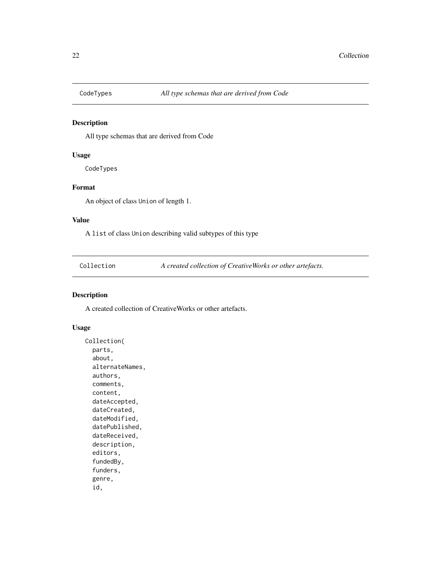<span id="page-21-0"></span>

All type schemas that are derived from Code

#### Usage

CodeTypes

#### Format

An object of class Union of length 1.

#### Value

A list of class Union describing valid subtypes of this type

Collection *A created collection of CreativeWorks or other artefacts.*

#### Description

A created collection of CreativeWorks or other artefacts.

#### Usage

```
Collection(
  parts,
  about,
  alternateNames,
  authors,
  comments,
  content,
  dateAccepted,
  dateCreated,
  dateModified,
  datePublished,
  dateReceived,
  description,
  editors,
  fundedBy,
  funders,
  genre,
  id,
```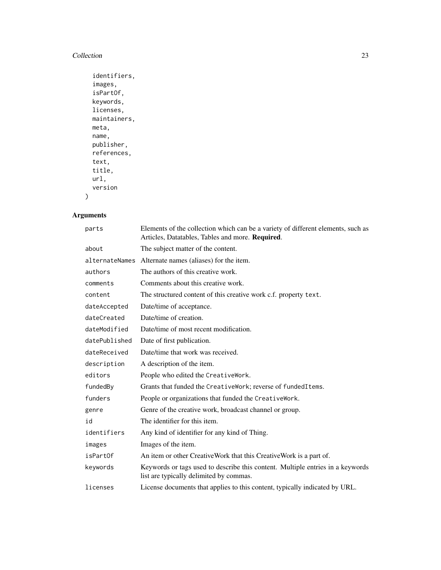#### Collection 23

```
identifiers,
images,
isPartOf,
keywords,
licenses,
maintainers,
meta,
name,
publisher,
references,
text,
title,
url,
version
```
# Arguments

 $\mathcal{L}$ 

| parts         | Elements of the collection which can be a variety of different elements, such as<br>Articles, Datatables, Tables and more. Required. |
|---------------|--------------------------------------------------------------------------------------------------------------------------------------|
| about         | The subject matter of the content.                                                                                                   |
|               | alternateNames Alternate names (aliases) for the item.                                                                               |
| authors       | The authors of this creative work.                                                                                                   |
| comments      | Comments about this creative work.                                                                                                   |
| content       | The structured content of this creative work c.f. property text.                                                                     |
| dateAccepted  | Date/time of acceptance.                                                                                                             |
| dateCreated   | Date/time of creation.                                                                                                               |
| dateModified  | Date/time of most recent modification.                                                                                               |
| datePublished | Date of first publication.                                                                                                           |
| dateReceived  | Date/time that work was received.                                                                                                    |
| description   | A description of the item.                                                                                                           |
| editors       | People who edited the CreativeWork.                                                                                                  |
| fundedBy      | Grants that funded the CreativeWork; reverse of fundedItems.                                                                         |
| funders       | People or organizations that funded the CreativeWork.                                                                                |
| genre         | Genre of the creative work, broadcast channel or group.                                                                              |
| id            | The identifier for this item.                                                                                                        |
| identifiers   | Any kind of identifier for any kind of Thing.                                                                                        |
| images        | Images of the item.                                                                                                                  |
| isPartOf      | An item or other CreativeWork that this CreativeWork is a part of.                                                                   |
| keywords      | Keywords or tags used to describe this content. Multiple entries in a keywords<br>list are typically delimited by commas.            |
| licenses      | License documents that applies to this content, typically indicated by URL.                                                          |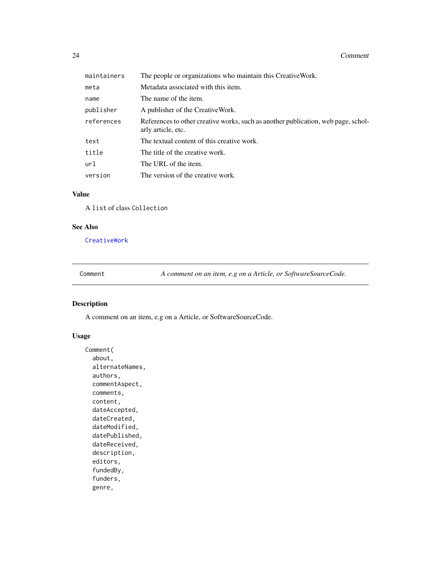<span id="page-23-0"></span>

| maintainers | The people or organizations who maintain this Creative Work.                                            |
|-------------|---------------------------------------------------------------------------------------------------------|
| meta        | Metadata associated with this item.                                                                     |
| name        | The name of the item.                                                                                   |
| publisher   | A publisher of the CreativeWork.                                                                        |
| references  | References to other creative works, such as another publication, web page, schol-<br>arly article, etc. |
| text        | The textual content of this creative work.                                                              |
| title       | The title of the creative work.                                                                         |
| url         | The URL of the item.                                                                                    |
| version     | The version of the creative work.                                                                       |

# Value

A list of class Collection

#### See Also

[CreativeWork](#page-27-1)

Comment *A comment on an item, e.g on a Article, or SoftwareSourceCode.*

#### Description

A comment on an item, e.g on a Article, or SoftwareSourceCode.

#### Usage

```
Comment(
  about,
  alternateNames,
  authors,
  commentAspect,
  comments,
  content,
  dateAccepted,
  dateCreated,
  dateModified,
  datePublished,
  dateReceived,
  description,
  editors,
  fundedBy,
  funders,
  genre,
```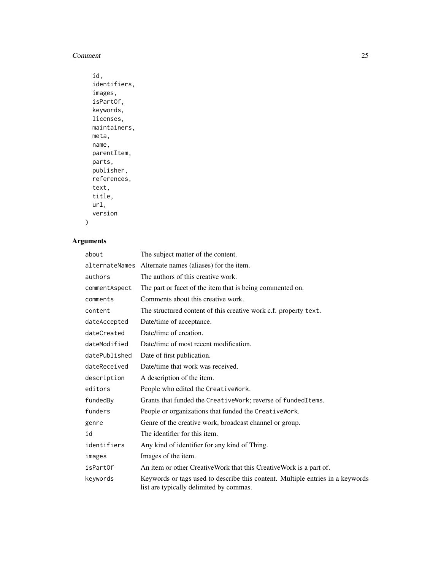#### Comment 25

```
id,
identifiers,
images,
isPartOf,
keywords,
licenses,
maintainers,
meta,
name,
parentItem,
parts,
publisher,
references,
text,
title,
url,
version
```
# Arguments

 $\mathcal{L}$ 

| about          | The subject matter of the content.                                                                                        |  |
|----------------|---------------------------------------------------------------------------------------------------------------------------|--|
| alternateNames | Alternate names (aliases) for the item.                                                                                   |  |
| authors        | The authors of this creative work.                                                                                        |  |
| commentAspect  | The part or facet of the item that is being commented on.                                                                 |  |
| comments       | Comments about this creative work.                                                                                        |  |
| content        | The structured content of this creative work c.f. property text.                                                          |  |
| dateAccepted   | Date/time of acceptance.                                                                                                  |  |
| dateCreated    | Date/time of creation.                                                                                                    |  |
| dateModified   | Date/time of most recent modification.                                                                                    |  |
| datePublished  | Date of first publication.                                                                                                |  |
| dateReceived   | Date/time that work was received.                                                                                         |  |
| description    | A description of the item.                                                                                                |  |
| editors        | People who edited the CreativeWork.                                                                                       |  |
| fundedBy       | Grants that funded the CreativeWork; reverse of fundedItems.                                                              |  |
| funders        | People or organizations that funded the CreativeWork.                                                                     |  |
| genre          | Genre of the creative work, broadcast channel or group.                                                                   |  |
| id             | The identifier for this item.                                                                                             |  |
| identifiers    | Any kind of identifier for any kind of Thing.                                                                             |  |
| images         | Images of the item.                                                                                                       |  |
| isPartOf       | An item or other CreativeWork that this CreativeWork is a part of.                                                        |  |
| keywords       | Keywords or tags used to describe this content. Multiple entries in a keywords<br>list are typically delimited by commas. |  |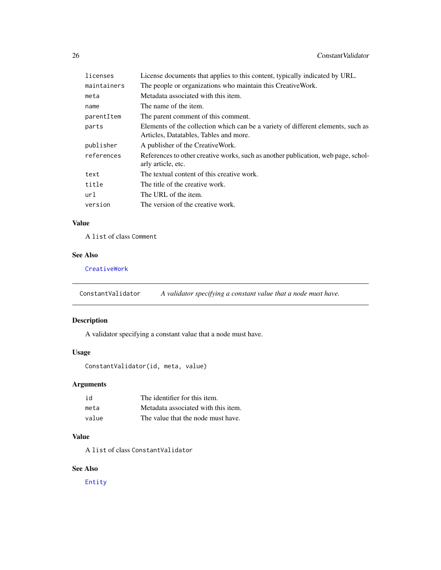<span id="page-25-0"></span>

| licenses    | License documents that applies to this content, typically indicated by URL.                                                |  |
|-------------|----------------------------------------------------------------------------------------------------------------------------|--|
| maintainers | The people or organizations who maintain this Creative Work.                                                               |  |
| meta        | Metadata associated with this item.                                                                                        |  |
| name        | The name of the item.                                                                                                      |  |
| parentItem  | The parent comment of this comment.                                                                                        |  |
| parts       | Elements of the collection which can be a variety of different elements, such as<br>Articles, Datatables, Tables and more. |  |
| publisher   | A publisher of the CreativeWork.                                                                                           |  |
| references  | References to other creative works, such as another publication, web page, schol-<br>arly article, etc.                    |  |
| text        | The textual content of this creative work.                                                                                 |  |
| title       | The title of the creative work.                                                                                            |  |
| url         | The URL of the item.                                                                                                       |  |
| version     | The version of the creative work.                                                                                          |  |
|             |                                                                                                                            |  |

# Value

A list of class Comment

#### See Also

[CreativeWork](#page-27-1)

ConstantValidator *A validator specifying a constant value that a node must have.*

# Description

A validator specifying a constant value that a node must have.

# Usage

```
ConstantValidator(id, meta, value)
```
# Arguments

| id    | The identifier for this item.       |
|-------|-------------------------------------|
| meta  | Metadata associated with this item. |
| value | The value that the node must have.  |

#### Value

A list of class ConstantValidator

#### See Also

[Entity](#page-35-1)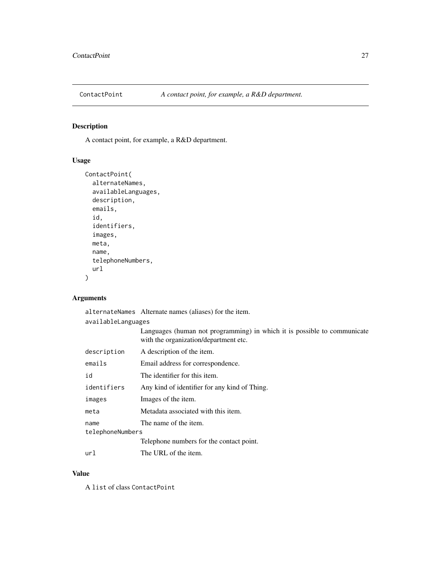<span id="page-26-0"></span>

A contact point, for example, a R&D department.

#### Usage

```
ContactPoint(
  alternateNames,
  availableLanguages,
 description,
  emails,
  id,
  identifiers,
  images,
 meta,
 name,
  telephoneNumbers,
 url
)
```
# Arguments

|                    | alternateNames Alternate names (aliases) for the item.                                                            |  |
|--------------------|-------------------------------------------------------------------------------------------------------------------|--|
| availableLanguages |                                                                                                                   |  |
|                    | Languages (human not programming) in which it is possible to communicate<br>with the organization/department etc. |  |
| description        | A description of the item.                                                                                        |  |
| emails             | Email address for correspondence.                                                                                 |  |
| id                 | The identifier for this item.                                                                                     |  |
| identifiers        | Any kind of identifier for any kind of Thing.                                                                     |  |
| images             | Images of the item.                                                                                               |  |
| meta               | Metadata associated with this item.                                                                               |  |
| name               | The name of the item.                                                                                             |  |
| telephoneNumbers   |                                                                                                                   |  |
|                    | Telephone numbers for the contact point.                                                                          |  |
| url                | The URL of the item.                                                                                              |  |

#### Value

A list of class ContactPoint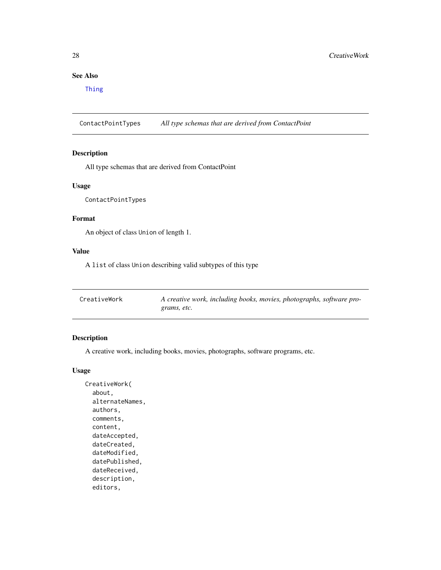# <span id="page-27-0"></span>See Also

[Thing](#page-92-1)

ContactPointTypes *All type schemas that are derived from ContactPoint*

#### Description

All type schemas that are derived from ContactPoint

#### Usage

ContactPointTypes

#### Format

An object of class Union of length 1.

#### Value

A list of class Union describing valid subtypes of this type

<span id="page-27-1"></span>

| CreativeWork | A creative work, including books, movies, photographs, software pro- |
|--------------|----------------------------------------------------------------------|
|              | grams, etc.                                                          |

#### Description

A creative work, including books, movies, photographs, software programs, etc.

#### Usage

```
CreativeWork(
  about,
  alternateNames,
  authors,
  comments,
  content,
  dateAccepted,
  dateCreated,
  dateModified,
  datePublished,
  dateReceived,
  description,
  editors,
```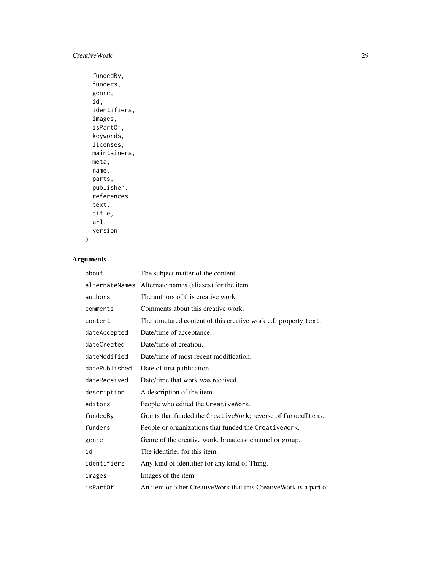# CreativeWork 29

```
fundedBy,
funders,
genre,
id,
identifiers,
images,
isPartOf,
keywords,
licenses,
maintainers,
meta,
name,
parts,
publisher,
references,
text,
title,
url,
version
```
# Arguments

 $\mathcal{L}$ 

| about          | The subject matter of the content.                                 |
|----------------|--------------------------------------------------------------------|
| alternateNames | Alternate names (aliases) for the item.                            |
| authors        | The authors of this creative work.                                 |
| comments       | Comments about this creative work.                                 |
| content        | The structured content of this creative work c.f. property text.   |
| dateAccepted   | Date/time of acceptance.                                           |
| dateCreated    | Date/time of creation.                                             |
| dateModified   | Date/time of most recent modification.                             |
| datePublished  | Date of first publication.                                         |
| dateReceived   | Date/time that work was received.                                  |
| description    | A description of the item.                                         |
| editors        | People who edited the CreativeWork.                                |
| fundedBy       | Grants that funded the CreativeWork; reverse of fundedItems.       |
| funders        | People or organizations that funded the CreativeWork.              |
| genre          | Genre of the creative work, broadcast channel or group.            |
| id             | The identifier for this item.                                      |
| identifiers    | Any kind of identifier for any kind of Thing.                      |
| images         | Images of the item.                                                |
| isPartOf       | An item or other CreativeWork that this CreativeWork is a part of. |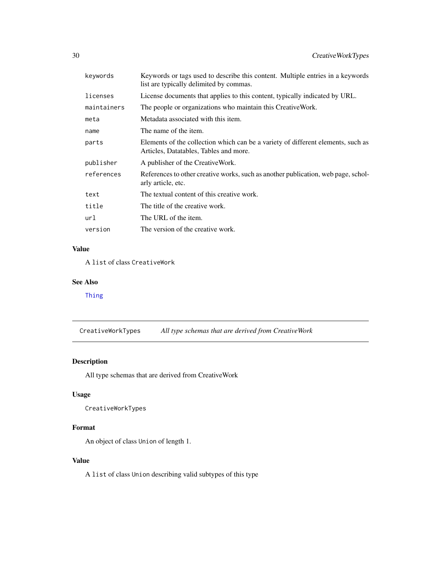<span id="page-29-0"></span>

| kevwords    | Keywords or tags used to describe this content. Multiple entries in a keywords<br>list are typically delimited by commas.  |
|-------------|----------------------------------------------------------------------------------------------------------------------------|
| licenses    | License documents that applies to this content, typically indicated by URL.                                                |
| maintainers | The people or organizations who maintain this Creative Work.                                                               |
| meta        | Metadata associated with this item.                                                                                        |
| name        | The name of the item.                                                                                                      |
| parts       | Elements of the collection which can be a variety of different elements, such as<br>Articles, Datatables, Tables and more. |
| publisher   | A publisher of the CreativeWork.                                                                                           |
| references  | References to other creative works, such as another publication, web page, schol-<br>arly article, etc.                    |
| text        | The textual content of this creative work.                                                                                 |
| title       | The title of the creative work.                                                                                            |
| url         | The URL of the item.                                                                                                       |
| version     | The version of the creative work.                                                                                          |
|             |                                                                                                                            |

# Value

A list of class CreativeWork

# See Also

[Thing](#page-92-1)

CreativeWorkTypes *All type schemas that are derived from CreativeWork*

# Description

All type schemas that are derived from CreativeWork

#### Usage

CreativeWorkTypes

# Format

An object of class Union of length 1.

# Value

A list of class Union describing valid subtypes of this type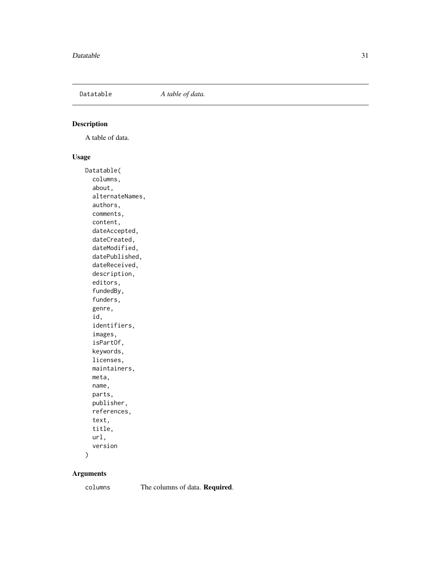<span id="page-30-0"></span>

A table of data.

#### Usage

Datatable( columns, about, alternateNames, authors, comments, content, dateAccepted, dateCreated, dateModified, datePublished, dateReceived, description, editors, fundedBy, funders, genre, id, identifiers, images, isPartOf, keywords, licenses, maintainers, meta, name, parts, publisher, references, text, title, url, version )

#### Arguments

columns The columns of data. Required.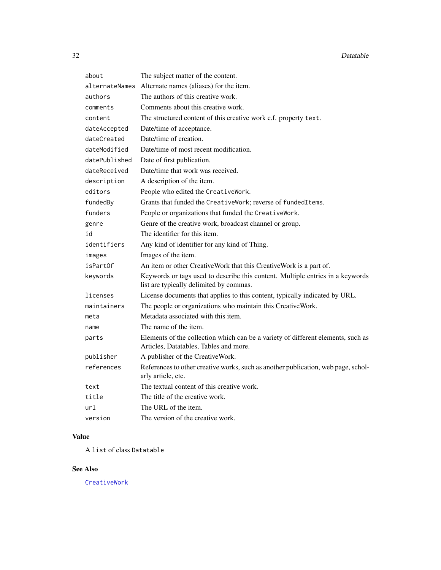| about          | The subject matter of the content.                                                                                         |  |
|----------------|----------------------------------------------------------------------------------------------------------------------------|--|
| alternateNames | Alternate names (aliases) for the item.                                                                                    |  |
| authors        | The authors of this creative work.                                                                                         |  |
| comments       | Comments about this creative work.                                                                                         |  |
| content        | The structured content of this creative work c.f. property text.                                                           |  |
| dateAccepted   | Date/time of acceptance.                                                                                                   |  |
| dateCreated    | Date/time of creation.                                                                                                     |  |
| dateModified   | Date/time of most recent modification.                                                                                     |  |
| datePublished  | Date of first publication.                                                                                                 |  |
| dateReceived   | Date/time that work was received.                                                                                          |  |
| description    | A description of the item.                                                                                                 |  |
| editors        | People who edited the CreativeWork.                                                                                        |  |
| fundedBy       | Grants that funded the CreativeWork; reverse of fundedItems.                                                               |  |
| funders        | People or organizations that funded the CreativeWork.                                                                      |  |
| genre          | Genre of the creative work, broadcast channel or group.                                                                    |  |
| id             | The identifier for this item.                                                                                              |  |
| identifiers    | Any kind of identifier for any kind of Thing.                                                                              |  |
| images         | Images of the item.                                                                                                        |  |
| isPartOf       | An item or other CreativeWork that this CreativeWork is a part of.                                                         |  |
| keywords       | Keywords or tags used to describe this content. Multiple entries in a keywords<br>list are typically delimited by commas.  |  |
| licenses       | License documents that applies to this content, typically indicated by URL.                                                |  |
| maintainers    | The people or organizations who maintain this CreativeWork.                                                                |  |
| meta           | Metadata associated with this item.                                                                                        |  |
| name           | The name of the item.                                                                                                      |  |
| parts          | Elements of the collection which can be a variety of different elements, such as<br>Articles, Datatables, Tables and more. |  |
| publisher      | A publisher of the CreativeWork.                                                                                           |  |
| references     | References to other creative works, such as another publication, web page, schol-<br>arly article, etc.                    |  |
| text           | The textual content of this creative work.                                                                                 |  |
| title          | The title of the creative work.                                                                                            |  |
| url            | The URL of the item.                                                                                                       |  |
| version        | The version of the creative work.                                                                                          |  |

# Value

A list of class Datatable

# See Also

[CreativeWork](#page-27-1)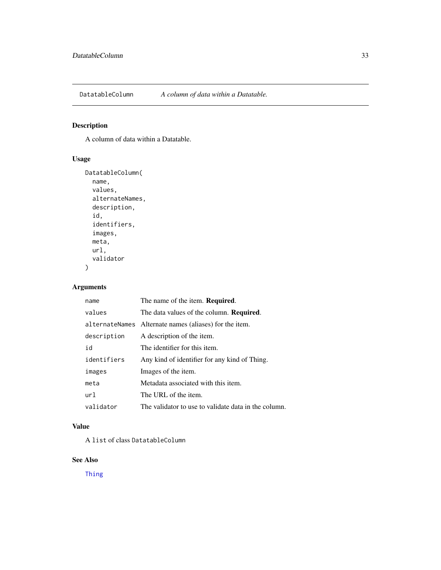<span id="page-32-0"></span>

A column of data within a Datatable.

# Usage

```
DatatableColumn(
 name,
  values,
 alternateNames,
  description,
  id,
  identifiers,
  images,
 meta,
 url,
  validator
)
```
#### Arguments

| name        | The name of the item. <b>Required.</b>                 |
|-------------|--------------------------------------------------------|
| values      | The data values of the column. <b>Required.</b>        |
|             | alternateNames Alternate names (aliases) for the item. |
| description | A description of the item.                             |
| id          | The identifier for this item.                          |
| identifiers | Any kind of identifier for any kind of Thing.          |
| images      | Images of the item.                                    |
| meta        | Metadata associated with this item.                    |
| url         | The URL of the item.                                   |
| validator   | The validator to use to validate data in the column.   |

# Value

A list of class DatatableColumn

# See Also

[Thing](#page-92-1)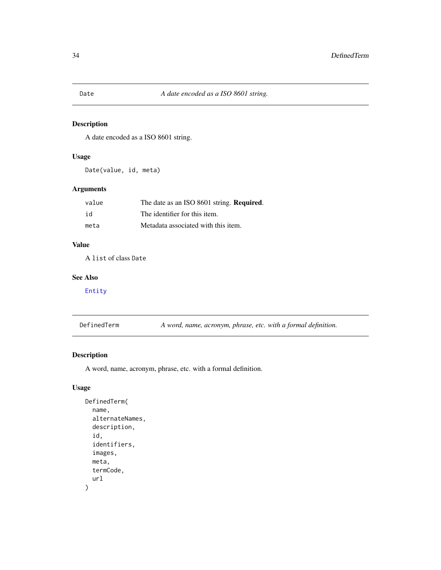<span id="page-33-0"></span>A date encoded as a ISO 8601 string.

#### Usage

Date(value, id, meta)

#### Arguments

| value | The date as an ISO 8601 string. Required. |
|-------|-------------------------------------------|
| id    | The identifier for this item.             |
| meta  | Metadata associated with this item.       |

#### Value

A list of class Date

#### See Also

[Entity](#page-35-1)

| DefinedTerm |  | A word, name, acronym, phrase, etc. with a formal definition. |  |  |  |
|-------------|--|---------------------------------------------------------------|--|--|--|
|-------------|--|---------------------------------------------------------------|--|--|--|

# Description

A word, name, acronym, phrase, etc. with a formal definition.

#### Usage

```
DefinedTerm(
  name,
  alternateNames,
  description,
  id,
  identifiers,
  images,
  meta,
  termCode,
  url
\mathcal{E}
```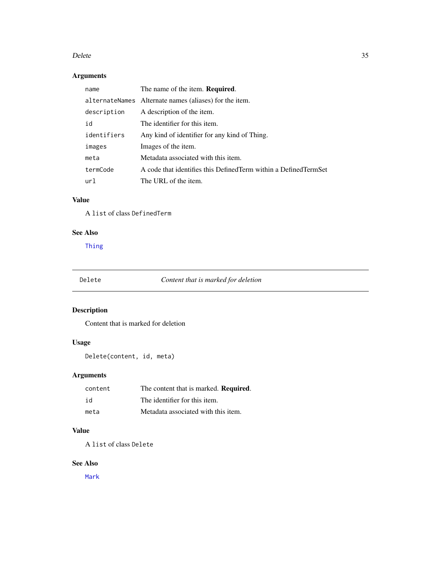#### <span id="page-34-0"></span>Delete 35

# Arguments

| name        | The name of the item. Required.                                    |
|-------------|--------------------------------------------------------------------|
|             | alternateNames Alternate names (aliases) for the item.             |
| description | A description of the item.                                         |
| id          | The identifier for this item.                                      |
| identifiers | Any kind of identifier for any kind of Thing.                      |
| images      | Images of the item.                                                |
| meta        | Metadata associated with this item.                                |
| termCode    | A code that identifies this Defined Term within a Defined Term Set |
| url         | The URL of the item.                                               |

# Value

A list of class DefinedTerm

#### See Also

[Thing](#page-92-1)

Delete *Content that is marked for deletion*

# Description

Content that is marked for deletion

## Usage

Delete(content, id, meta)

# Arguments

| content | The content that is marked. Required. |
|---------|---------------------------------------|
| id      | The identifier for this item.         |
| meta    | Metadata associated with this item.   |

# Value

A list of class Delete

# See Also

[Mark](#page-51-1)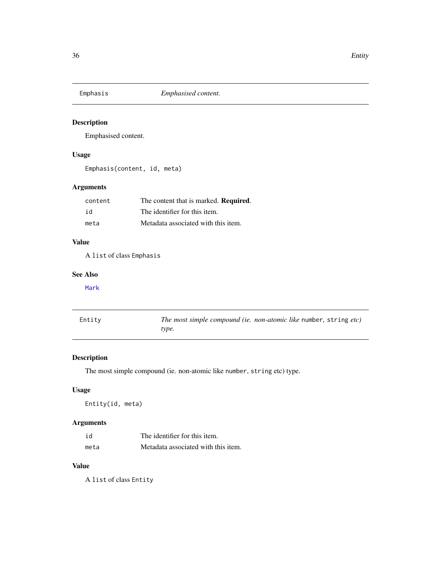<span id="page-35-0"></span>

Emphasised content.

# Usage

Emphasis(content, id, meta)

# Arguments

| content | The content that is marked. Required. |
|---------|---------------------------------------|
| id      | The identifier for this item.         |
| meta    | Metadata associated with this item.   |

# Value

A list of class Emphasis

#### See Also

[Mark](#page-51-1)

<span id="page-35-1"></span>

| Entity | The most simple compound (ie. non-atomic like number, string etc) |
|--------|-------------------------------------------------------------------|
|        | type.                                                             |

# Description

The most simple compound (ie. non-atomic like number, string etc) type.

#### Usage

Entity(id, meta)

#### Arguments

| id   | The identifier for this item.       |
|------|-------------------------------------|
| meta | Metadata associated with this item. |

#### Value

A list of class Entity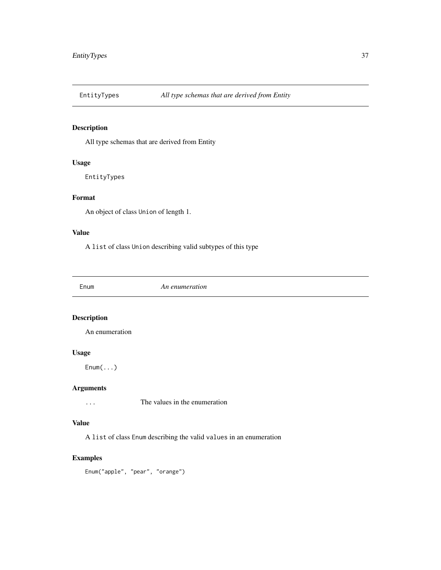All type schemas that are derived from Entity

#### Usage

EntityTypes

### Format

An object of class Union of length 1.

#### Value

A list of class Union describing valid subtypes of this type

Enum *An enumeration*

### Description

An enumeration

### Usage

Enum(...)

# Arguments

... The values in the enumeration

### Value

A list of class Enum describing the valid values in an enumeration

### Examples

Enum("apple", "pear", "orange")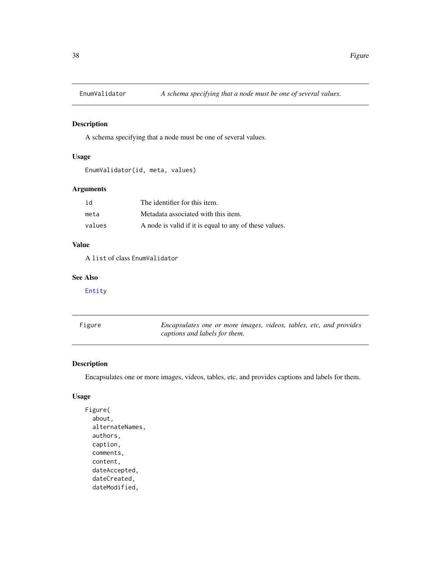A schema specifying that a node must be one of several values.

### Usage

```
EnumValidator(id, meta, values)
```
### Arguments

| id     | The identifier for this item.                          |
|--------|--------------------------------------------------------|
| meta   | Metadata associated with this item.                    |
| values | A node is valid if it is equal to any of these values. |

#### Value

A list of class EnumValidator

#### See Also

[Entity](#page-35-0)

| Figure | Encapsulates one or more images, videos, tables, etc, and provides |  |  |  |
|--------|--------------------------------------------------------------------|--|--|--|
|        | captions and labels for them.                                      |  |  |  |

### Description

Encapsulates one or more images, videos, tables, etc, and provides captions and labels for them.

#### Usage

```
Figure(
  about,
  alternateNames,
  authors,
  caption,
  comments,
  content,
  dateAccepted,
  dateCreated,
  dateModified,
```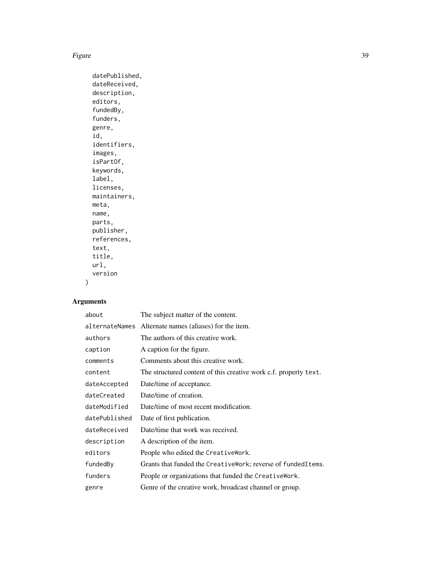#### Figure 39

```
datePublished,
dateReceived,
description,
editors,
fundedBy,
funders,
genre,
id,
identifiers,
images,
isPartOf,
keywords,
label,
licenses,
maintainers,
meta,
name,
parts,
publisher,
references,
text,
title,
url,
version
```
# Arguments

 $\mathcal{L}$ 

| about          | The subject matter of the content.                               |
|----------------|------------------------------------------------------------------|
| alternateNames | Alternate names (aliases) for the item.                          |
| authors        | The authors of this creative work.                               |
| caption        | A caption for the figure.                                        |
| comments       | Comments about this creative work.                               |
| content        | The structured content of this creative work c.f. property text. |
| dateAccepted   | Date/time of acceptance.                                         |
| dateCreated    | Date/time of creation.                                           |
| dateModified   | Date/time of most recent modification.                           |
| datePublished  | Date of first publication.                                       |
| dateReceived   | Date/time that work was received.                                |
| description    | A description of the item.                                       |
| editors        | People who edited the CreativeWork.                              |
| fundedBy       | Grants that funded the CreativeWork; reverse of fundedItems.     |
| funders        | People or organizations that funded the CreativeWork.            |
| genre          | Genre of the creative work, broadcast channel or group.          |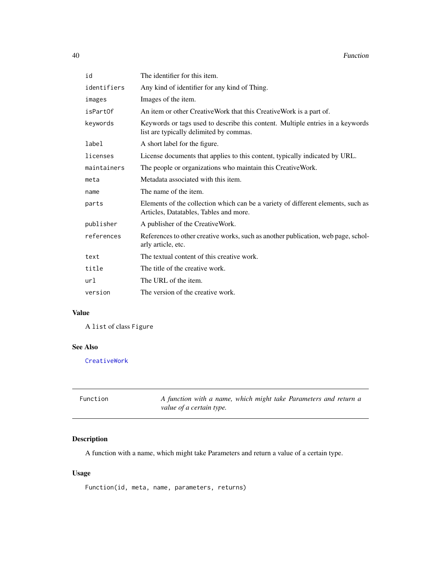| id          | The identifier for this item.                                                                                              |
|-------------|----------------------------------------------------------------------------------------------------------------------------|
| identifiers | Any kind of identifier for any kind of Thing.                                                                              |
| images      | Images of the item.                                                                                                        |
| isPartOf    | An item or other CreativeWork that this CreativeWork is a part of.                                                         |
| keywords    | Keywords or tags used to describe this content. Multiple entries in a keywords<br>list are typically delimited by commas.  |
| label       | A short label for the figure.                                                                                              |
| licenses    | License documents that applies to this content, typically indicated by URL.                                                |
| maintainers | The people or organizations who maintain this CreativeWork.                                                                |
| meta        | Metadata associated with this item.                                                                                        |
| name        | The name of the item.                                                                                                      |
| parts       | Elements of the collection which can be a variety of different elements, such as<br>Articles, Datatables, Tables and more. |
| publisher   | A publisher of the CreativeWork.                                                                                           |
| references  | References to other creative works, such as another publication, web page, schol-<br>arly article, etc.                    |
| text        | The textual content of this creative work.                                                                                 |
| title       | The title of the creative work.                                                                                            |
| url         | The URL of the item.                                                                                                       |
| version     | The version of the creative work.                                                                                          |

### Value

A list of class Figure

### See Also

[CreativeWork](#page-27-0)

| Function | A function with a name, which might take Parameters and return a |
|----------|------------------------------------------------------------------|
|          | value of a certain type.                                         |

## Description

A function with a name, which might take Parameters and return a value of a certain type.

## Usage

Function(id, meta, name, parameters, returns)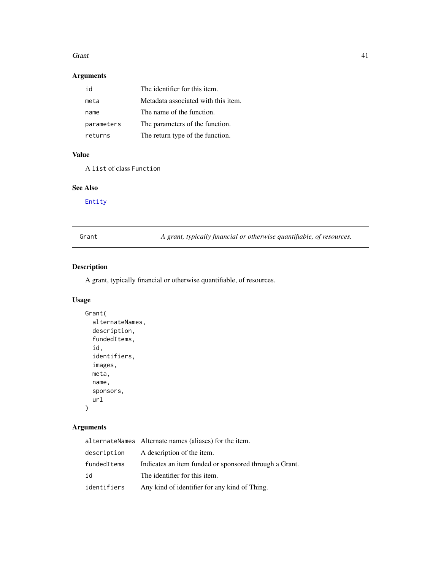#### Grant 41

### Arguments

| id         | The identifier for this item.       |
|------------|-------------------------------------|
| meta       | Metadata associated with this item. |
| name       | The name of the function.           |
| parameters | The parameters of the function.     |
| returns    | The return type of the function.    |

### Value

A list of class Function

# See Also

[Entity](#page-35-0)

<span id="page-40-0"></span>Grant *A grant, typically financial or otherwise quantifiable, of resources.*

# Description

A grant, typically financial or otherwise quantifiable, of resources.

### Usage

```
Grant(
  alternateNames,
  description,
  fundedItems,
  id,
  identifiers,
  images,
  meta,
  name,
  sponsors,
  url
)
```

|             | alternateNames Alternate names (aliases) for the item. |
|-------------|--------------------------------------------------------|
| description | A description of the item.                             |
| fundedItems | Indicates an item funded or sponsored through a Grant. |
| id          | The identifier for this item.                          |
| identifiers | Any kind of identifier for any kind of Thing.          |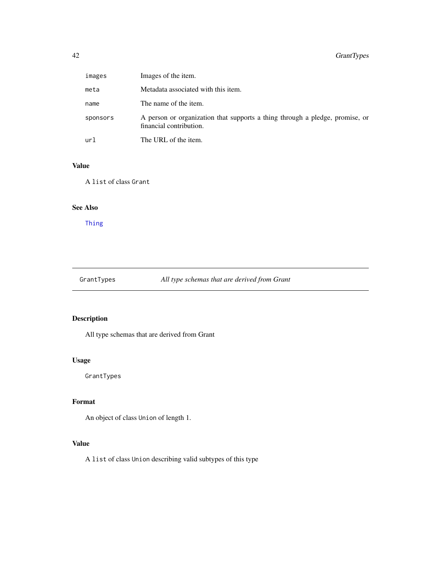| images   | Images of the item.                                                                                     |
|----------|---------------------------------------------------------------------------------------------------------|
| meta     | Metadata associated with this item.                                                                     |
| name     | The name of the item.                                                                                   |
| sponsors | A person or organization that supports a thing through a pledge, promise, or<br>financial contribution. |
| url      | The URL of the item.                                                                                    |

### Value

A list of class Grant

# See Also

[Thing](#page-92-0)

GrantTypes *All type schemas that are derived from Grant*

# Description

All type schemas that are derived from Grant

### Usage

GrantTypes

# Format

An object of class Union of length 1.

## Value

A list of class Union describing valid subtypes of this type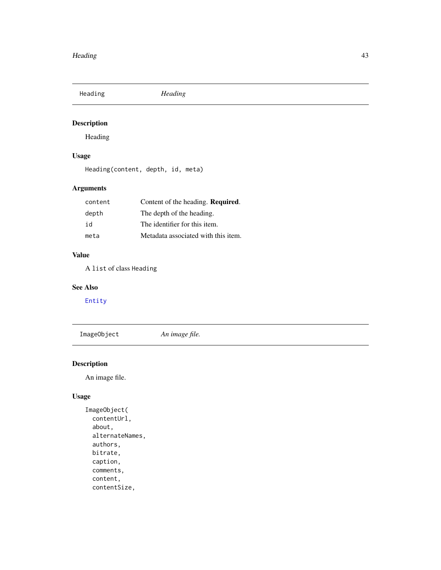Heading *Heading*

# Description

Heading

## Usage

Heading(content, depth, id, meta)

### Arguments

| content | Content of the heading. Required.   |
|---------|-------------------------------------|
| depth   | The depth of the heading.           |
| id      | The identifier for this item.       |
| meta    | Metadata associated with this item. |

### Value

A list of class Heading

#### See Also

[Entity](#page-35-0)

ImageObject *An image file.*

## Description

An image file.

## Usage

```
ImageObject(
  contentUrl,
  about,
  alternateNames,
  authors,
 bitrate,
  caption,
  comments,
  content,
  contentSize,
```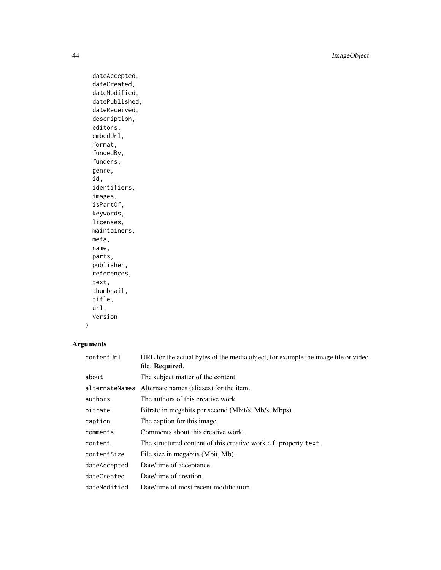44 ImageObject

dateAccepted, dateCreated, dateModified, datePublished, dateReceived, description, editors, embedUrl, format, fundedBy, funders, genre, id, identifiers, images, isPartOf, keywords, licenses, maintainers, meta, name, parts, publisher, references, text, thumbnail, title, url, version

# $\mathcal{L}$

| contentUrl     | URL for the actual bytes of the media object, for example the image file or video<br>file. Required. |
|----------------|------------------------------------------------------------------------------------------------------|
| about          | The subject matter of the content.                                                                   |
| alternateNames | Alternate names (aliases) for the item.                                                              |
| authors        | The authors of this creative work.                                                                   |
| bitrate        | Bitrate in megabits per second (Mbit/s, Mb/s, Mbps).                                                 |
| caption        | The caption for this image.                                                                          |
| comments       | Comments about this creative work.                                                                   |
| content        | The structured content of this creative work c.f. property text.                                     |
| contentSize    | File size in megabits (Mbit, Mb).                                                                    |
| dateAccepted   | Date/time of acceptance.                                                                             |
| dateCreated    | Date/time of creation.                                                                               |
| dateModified   | Date/time of most recent modification.                                                               |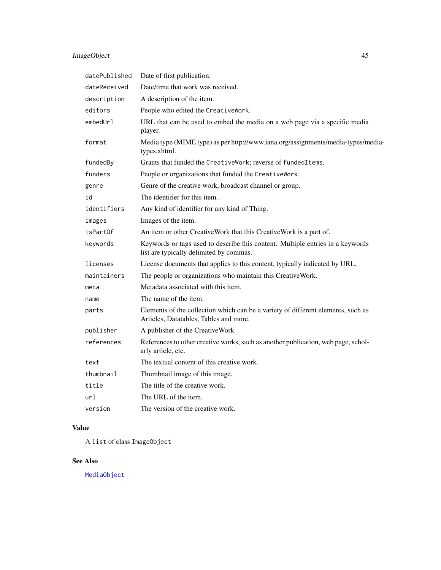# ImageObject 45

| datePublished | Date of first publication.                                                                                                 |
|---------------|----------------------------------------------------------------------------------------------------------------------------|
| dateReceived  | Date/time that work was received.                                                                                          |
| description   | A description of the item.                                                                                                 |
| editors       | People who edited the CreativeWork.                                                                                        |
| embedUr1      | URL that can be used to embed the media on a web page via a specific media<br>player.                                      |
| format        | Media type (MIME type) as per http://www.iana.org/assignments/media-types/media-<br>types.xhtml.                           |
| fundedBy      | Grants that funded the CreativeWork; reverse of fundedItems.                                                               |
| funders       | People or organizations that funded the CreativeWork.                                                                      |
| genre         | Genre of the creative work, broadcast channel or group.                                                                    |
| id            | The identifier for this item.                                                                                              |
| identifiers   | Any kind of identifier for any kind of Thing.                                                                              |
| images        | Images of the item.                                                                                                        |
| isPartOf      | An item or other CreativeWork that this CreativeWork is a part of.                                                         |
| keywords      | Keywords or tags used to describe this content. Multiple entries in a keywords<br>list are typically delimited by commas.  |
| licenses      | License documents that applies to this content, typically indicated by URL.                                                |
| maintainers   | The people or organizations who maintain this CreativeWork.                                                                |
| meta          | Metadata associated with this item.                                                                                        |
| name          | The name of the item.                                                                                                      |
| parts         | Elements of the collection which can be a variety of different elements, such as<br>Articles, Datatables, Tables and more. |
| publisher     | A publisher of the CreativeWork.                                                                                           |
| references    | References to other creative works, such as another publication, web page, schol-<br>arly article, etc.                    |
| text          | The textual content of this creative work.                                                                                 |
| thumbnail     | Thumbnail image of this image.                                                                                             |
| title         | The title of the creative work.                                                                                            |
| url           | The URL of the item.                                                                                                       |
| version       | The version of the creative work.                                                                                          |

# Value

A list of class ImageObject

# See Also

[MediaObject](#page-54-0)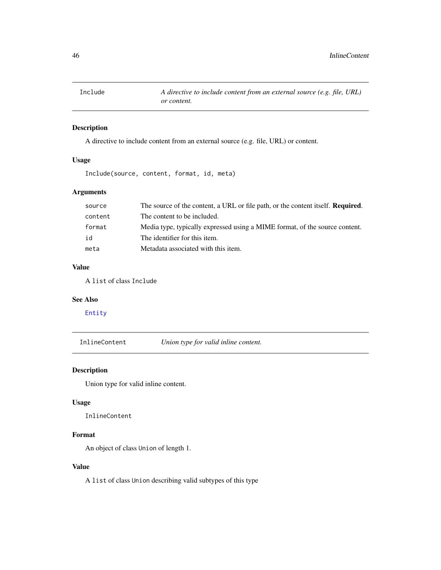A directive to include content from an external source (e.g. file, URL) or content.

#### Usage

Include(source, content, format, id, meta)

### Arguments

| source  | The source of the content, a URL or file path, or the content itself. <b>Required.</b> |
|---------|----------------------------------------------------------------------------------------|
| content | The content to be included.                                                            |
| format  | Media type, typically expressed using a MIME format, of the source content.            |
| id      | The identifier for this item.                                                          |
| meta    | Metadata associated with this item.                                                    |

#### Value

A list of class Include

#### See Also

[Entity](#page-35-0)

InlineContent *Union type for valid inline content.*

## Description

Union type for valid inline content.

#### Usage

InlineContent

#### Format

An object of class Union of length 1.

#### Value

A list of class Union describing valid subtypes of this type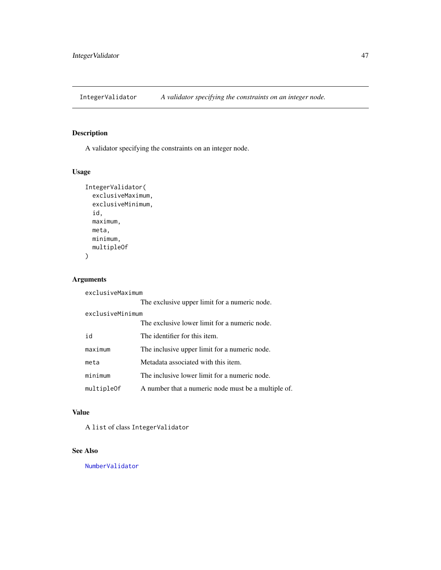IntegerValidator *A validator specifying the constraints on an integer node.*

### Description

A validator specifying the constraints on an integer node.

## Usage

```
IntegerValidator(
  exclusiveMaximum,
  exclusiveMinimum,
  id,
  maximum,
  meta,
  minimum,
  multipleOf
\mathcal{L}
```
### Arguments

exclusiveMaximum

|                  | The exclusive upper limit for a numeric node.       |  |
|------------------|-----------------------------------------------------|--|
| exclusiveMinimum |                                                     |  |
|                  | The exclusive lower limit for a numeric node.       |  |
| id               | The identifier for this item.                       |  |
| maximum          | The inclusive upper limit for a numeric node.       |  |
| meta             | Metadata associated with this item.                 |  |
| minimum          | The inclusive lower limit for a numeric node.       |  |
| multipleOf       | A number that a numeric node must be a multiple of. |  |

#### Value

A list of class IntegerValidator

### See Also

[NumberValidator](#page-59-0)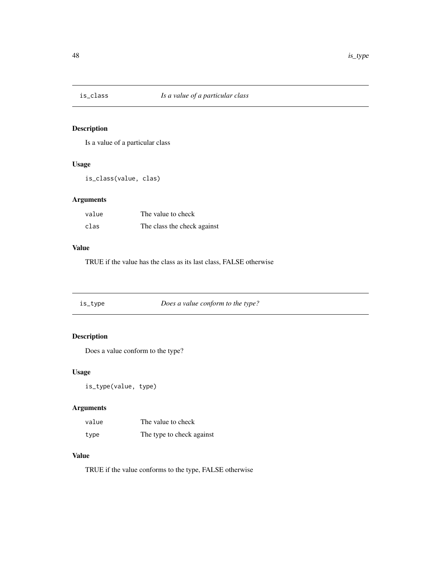Is a value of a particular class

### Usage

is\_class(value, clas)

### Arguments

| value | The value to check          |
|-------|-----------------------------|
| clas  | The class the check against |

### Value

TRUE if the value has the class as its last class, FALSE otherwise

| is_type | Does a value conform to the type? |  |
|---------|-----------------------------------|--|
|         |                                   |  |

# Description

Does a value conform to the type?

### Usage

is\_type(value, type)

### Arguments

| value | The value to check        |
|-------|---------------------------|
| type  | The type to check against |

### Value

TRUE if the value conforms to the type, FALSE otherwise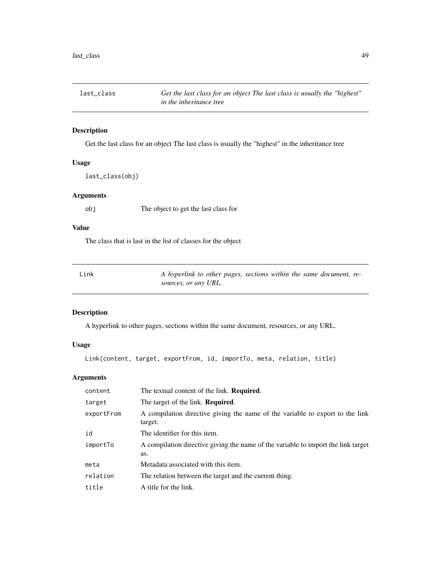Get the last class for an object The last class is usually the "highest" in the inheritance tree

### Usage

last\_class(obj)

### Arguments

obj The object to get the last class for

### Value

The class that is last in the list of classes for the object

| Link | A hyperlink to other pages, sections within the same document, re- |  |
|------|--------------------------------------------------------------------|--|
|      | sources, or any URL.                                               |  |

### Description

A hyperlink to other pages, sections within the same document, resources, or any URL.

### Usage

Link(content, target, exportFrom, id, importTo, meta, relation, title)

| content    | The textual content of the link. <b>Required.</b>                                        |
|------------|------------------------------------------------------------------------------------------|
| target     | The target of the link. <b>Required.</b>                                                 |
| exportFrom | A compilation directive giving the name of the variable to export to the link<br>target. |
| id         | The identifier for this item.                                                            |
| importTo   | A compilation directive giving the name of the variable to import the link target<br>as. |
| meta       | Metadata associated with this item.                                                      |
| relation   | The relation between the target and the current thing.                                   |
| title      | A title for the link.                                                                    |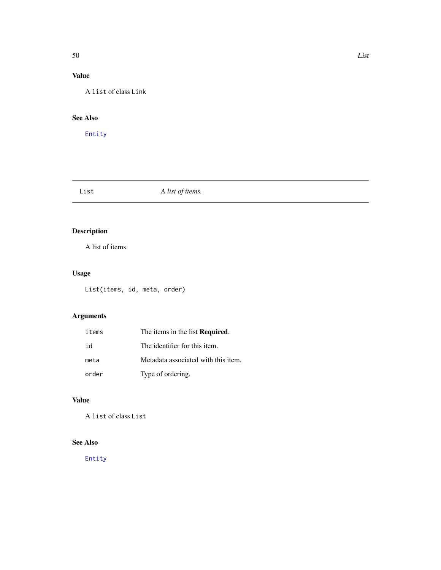# Value

A list of class Link

## See Also

[Entity](#page-35-0)

List *A list of items.*

# Description

A list of items.

# Usage

List(items, id, meta, order)

# Arguments

| items | The items in the list <b>Required</b> . |
|-------|-----------------------------------------|
| id    | The identifier for this item.           |
| meta  | Metadata associated with this item.     |
| order | Type of ordering.                       |

# Value

A list of class List

### See Also

[Entity](#page-35-0)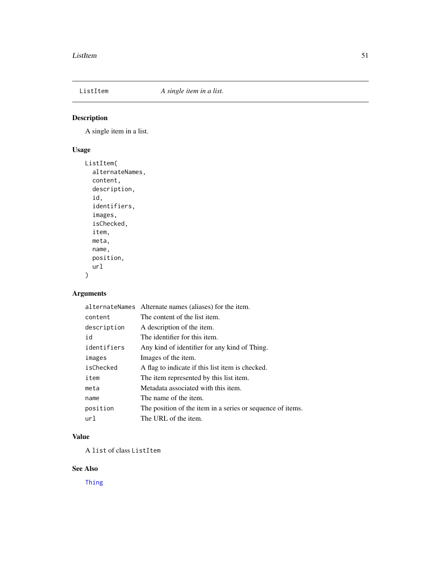A single item in a list.

### Usage

```
ListItem(
  alternateNames,
  content,
  description,
  id,
  identifiers,
  images,
  isChecked,
  item,
  meta,
  name,
  position,
  url
)
```
# Arguments

|             | alternateNames Alternate names (aliases) for the item.     |
|-------------|------------------------------------------------------------|
| content     | The content of the list item.                              |
| description | A description of the item.                                 |
| id          | The identifier for this item.                              |
| identifiers | Any kind of identifier for any kind of Thing.              |
| images      | Images of the item.                                        |
| isChecked   | A flag to indicate if this list item is checked.           |
| item        | The item represented by this list item.                    |
| meta        | Metadata associated with this item.                        |
| name        | The name of the item.                                      |
| position    | The position of the item in a series or sequence of items. |
| url         | The URL of the item.                                       |

#### Value

A list of class ListItem

### See Also

[Thing](#page-92-0)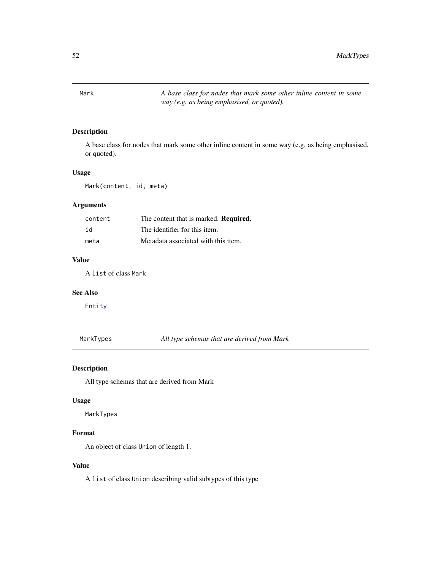<span id="page-51-0"></span>Mark *A base class for nodes that mark some other inline content in some way (e.g. as being emphasised, or quoted).*

### Description

A base class for nodes that mark some other inline content in some way (e.g. as being emphasised, or quoted).

#### Usage

Mark(content, id, meta)

#### Arguments

| content | The content that is marked. Required. |
|---------|---------------------------------------|
| id      | The identifier for this item.         |
| meta    | Metadata associated with this item.   |

#### Value

A list of class Mark

#### See Also

[Entity](#page-35-0)

MarkTypes *All type schemas that are derived from Mark*

#### Description

All type schemas that are derived from Mark

#### Usage

MarkTypes

### Format

An object of class Union of length 1.

#### Value

A list of class Union describing valid subtypes of this type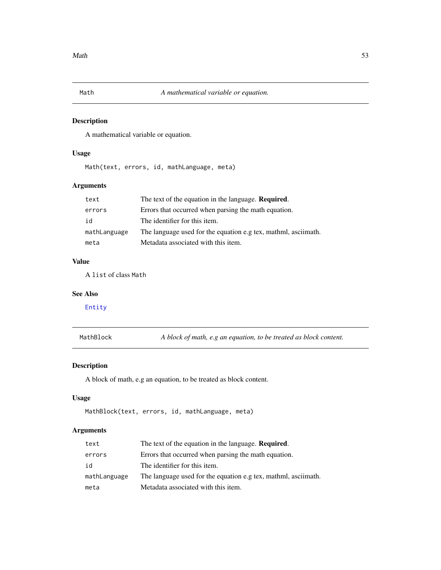<span id="page-52-0"></span>

A mathematical variable or equation.

### Usage

Math(text, errors, id, mathLanguage, meta)

### Arguments

| text         | The text of the equation in the language. <b>Required.</b>     |
|--------------|----------------------------------------------------------------|
| errors       | Errors that occurred when parsing the math equation.           |
| id           | The identifier for this item.                                  |
| mathLanguage | The language used for the equation e.g tex, mathml, asciimath. |
| meta         | Metadata associated with this item.                            |

### Value

A list of class Math

### See Also

[Entity](#page-35-0)

MathBlock *A block of math, e.g an equation, to be treated as block content.*

### Description

A block of math, e.g an equation, to be treated as block content.

### Usage

```
MathBlock(text, errors, id, mathLanguage, meta)
```

| text         | The text of the equation in the language. <b>Required.</b>     |
|--------------|----------------------------------------------------------------|
| errors       | Errors that occurred when parsing the math equation.           |
| id           | The identifier for this item.                                  |
| mathLanguage | The language used for the equation e.g tex, mathml, asciimath. |
| meta         | Metadata associated with this item.                            |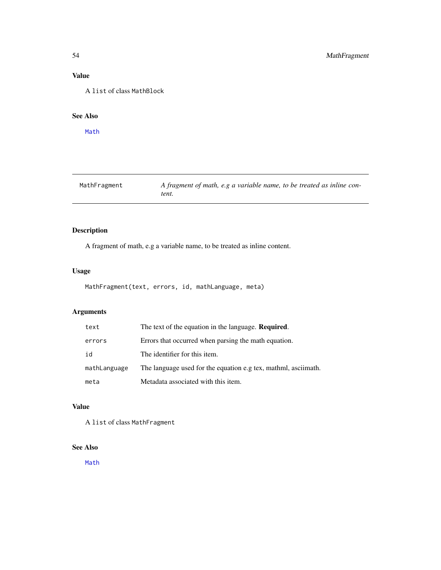### Value

A list of class MathBlock

### See Also

[Math](#page-52-0)

| MathFragment | A fragment of math, e.g a variable name, to be treated as inline con- |
|--------------|-----------------------------------------------------------------------|
|              | tent.                                                                 |

## Description

A fragment of math, e.g a variable name, to be treated as inline content.

## Usage

```
MathFragment(text, errors, id, mathLanguage, meta)
```
## Arguments

| text         | The text of the equation in the language. <b>Required.</b>     |
|--------------|----------------------------------------------------------------|
| errors       | Errors that occurred when parsing the math equation.           |
| id           | The identifier for this item.                                  |
| mathLanguage | The language used for the equation e.g tex, mathml, asciimath. |
| meta         | Metadata associated with this item.                            |

### Value

A list of class MathFragment

### See Also

[Math](#page-52-0)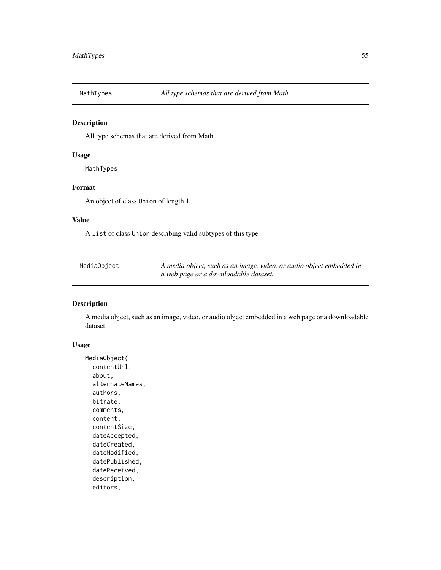All type schemas that are derived from Math

#### Usage

MathTypes

### Format

An object of class Union of length 1.

#### Value

A list of class Union describing valid subtypes of this type

<span id="page-54-0"></span>

| MediaObject | A media object, such as an image, video, or audio object embedded in |
|-------------|----------------------------------------------------------------------|
|             | a web page or a downloadable dataset.                                |

#### Description

A media object, such as an image, video, or audio object embedded in a web page or a downloadable dataset.

### Usage

```
MediaObject(
  contentUrl,
  about,
  alternateNames,
  authors,
 bitrate,
  comments,
  content,
  contentSize,
  dateAccepted,
  dateCreated,
  dateModified,
  datePublished,
  dateReceived,
  description,
  editors,
```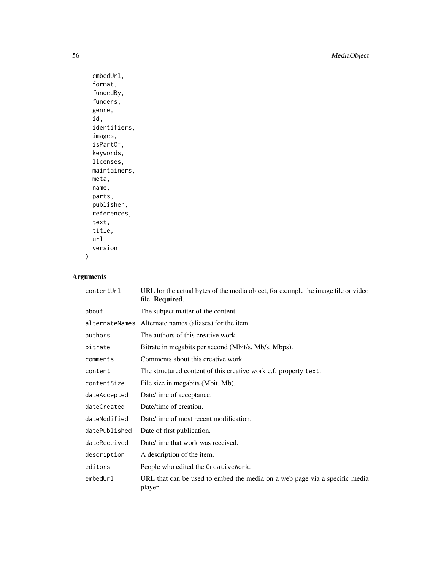56 MediaObject

```
embedUrl,
format,
fundedBy,
funders,
genre,
id,
identifiers,
images,
isPartOf,
keywords,
licenses,
maintainers,
meta,
name,
parts,
publisher,
references,
text,
title,
url,
version
```
# Arguments

 $\mathcal{L}$ 

| contentUrl     | URL for the actual bytes of the media object, for example the image file or video<br>file. Required. |
|----------------|------------------------------------------------------------------------------------------------------|
| about          | The subject matter of the content.                                                                   |
| alternateNames | Alternate names (aliases) for the item.                                                              |
| authors        | The authors of this creative work.                                                                   |
| bitrate        | Bitrate in megabits per second (Mbit/s, Mb/s, Mbps).                                                 |
| comments       | Comments about this creative work.                                                                   |
| content        | The structured content of this creative work c.f. property text.                                     |
| contentSize    | File size in megabits (Mbit, Mb).                                                                    |
| dateAccepted   | Date/time of acceptance.                                                                             |
| dateCreated    | Date/time of creation.                                                                               |
| dateModified   | Date/time of most recent modification.                                                               |
| datePublished  | Date of first publication.                                                                           |
| dateReceived   | Date/time that work was received.                                                                    |
| description    | A description of the item.                                                                           |
| editors        | People who edited the CreativeWork.                                                                  |
| embedUrl       | URL that can be used to embed the media on a web page via a specific media<br>player.                |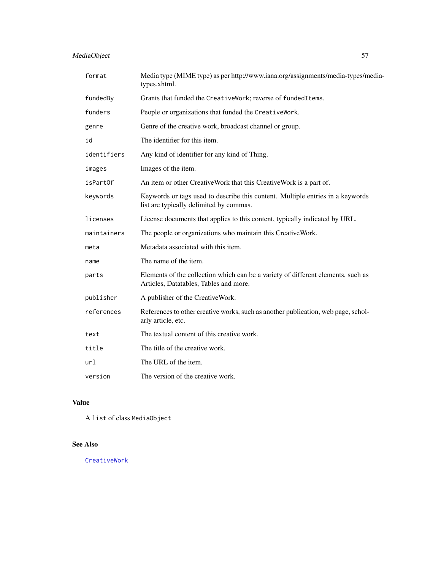# MediaObject 57

| format      | Media type (MIME type) as per http://www.iana.org/assignments/media-types/media-<br>types.xhtml.                           |
|-------------|----------------------------------------------------------------------------------------------------------------------------|
| fundedBy    | Grants that funded the CreativeWork; reverse of fundedItems.                                                               |
| funders     | People or organizations that funded the CreativeWork.                                                                      |
| genre       | Genre of the creative work, broadcast channel or group.                                                                    |
| id          | The identifier for this item.                                                                                              |
| identifiers | Any kind of identifier for any kind of Thing.                                                                              |
| images      | Images of the item.                                                                                                        |
| isPartOf    | An item or other CreativeWork that this CreativeWork is a part of.                                                         |
| keywords    | Keywords or tags used to describe this content. Multiple entries in a keywords<br>list are typically delimited by commas.  |
| licenses    | License documents that applies to this content, typically indicated by URL.                                                |
| maintainers | The people or organizations who maintain this CreativeWork.                                                                |
| meta        | Metadata associated with this item.                                                                                        |
| name        | The name of the item.                                                                                                      |
| parts       | Elements of the collection which can be a variety of different elements, such as<br>Articles, Datatables, Tables and more. |
| publisher   | A publisher of the CreativeWork.                                                                                           |
| references  | References to other creative works, such as another publication, web page, schol-<br>arly article, etc.                    |
| text        | The textual content of this creative work.                                                                                 |
| title       | The title of the creative work.                                                                                            |
| url         | The URL of the item.                                                                                                       |
| version     | The version of the creative work.                                                                                          |

### Value

A list of class MediaObject

# See Also

[CreativeWork](#page-27-0)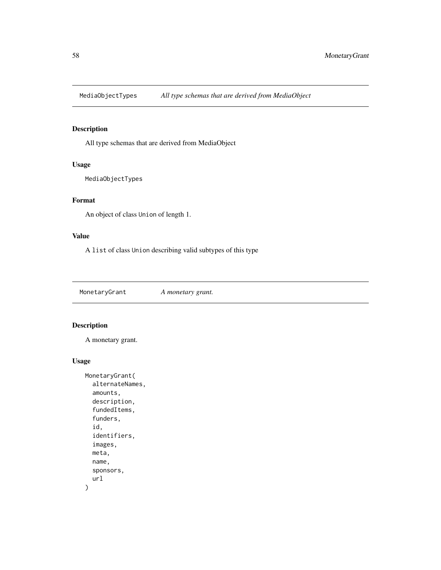MediaObjectTypes *All type schemas that are derived from MediaObject*

### Description

All type schemas that are derived from MediaObject

### Usage

MediaObjectTypes

### Format

An object of class Union of length 1.

### Value

A list of class Union describing valid subtypes of this type

MonetaryGrant *A monetary grant.*

# Description

A monetary grant.

#### Usage

```
MonetaryGrant(
  alternateNames,
  amounts,
  description,
  fundedItems,
  funders,
  id,
  identifiers,
  images,
 meta,
 name,
  sponsors,
  url
)
```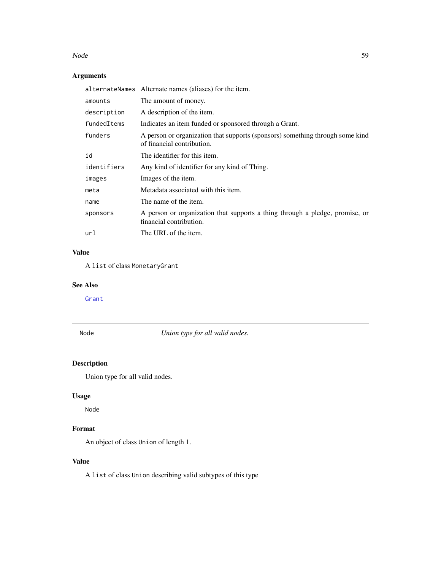#### Node 59

# Arguments

|             | alternateNames Alternate names (aliases) for the item.                                                      |
|-------------|-------------------------------------------------------------------------------------------------------------|
| amounts     | The amount of money.                                                                                        |
| description | A description of the item.                                                                                  |
| fundedItems | Indicates an item funded or sponsored through a Grant.                                                      |
| funders     | A person or organization that supports (sponsors) something through some kind<br>of financial contribution. |
| id          | The identifier for this item.                                                                               |
| identifiers | Any kind of identifier for any kind of Thing.                                                               |
| images      | Images of the item.                                                                                         |
| meta        | Metadata associated with this item.                                                                         |
| name        | The name of the item.                                                                                       |
| sponsors    | A person or organization that supports a thing through a pledge, promise, or<br>financial contribution.     |
| url         | The URL of the item.                                                                                        |

#### Value

A list of class MonetaryGrant

### See Also

[Grant](#page-40-0)

Node *Union type for all valid nodes.*

## Description

Union type for all valid nodes.

### Usage

Node

# Format

An object of class Union of length 1.

## Value

A list of class Union describing valid subtypes of this type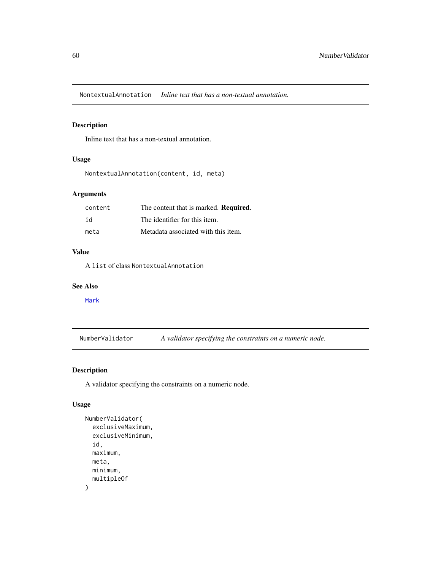NontextualAnnotation *Inline text that has a non-textual annotation.*

### Description

Inline text that has a non-textual annotation.

#### Usage

```
NontextualAnnotation(content, id, meta)
```
### Arguments

| content | The content that is marked. <b>Required.</b> |
|---------|----------------------------------------------|
| id      | The identifier for this item.                |
| meta    | Metadata associated with this item.          |

### Value

A list of class NontextualAnnotation

#### See Also

[Mark](#page-51-0)

<span id="page-59-0"></span>NumberValidator *A validator specifying the constraints on a numeric node.*

### Description

A validator specifying the constraints on a numeric node.

#### Usage

```
NumberValidator(
  exclusiveMaximum,
  exclusiveMinimum,
  id,
 maximum,
 meta,
 minimum,
  multipleOf
)
```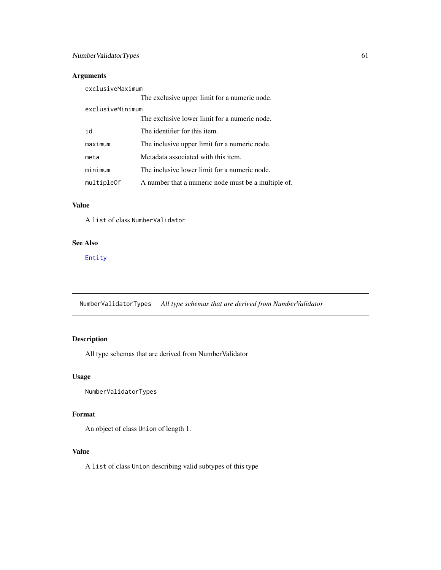### Arguments

| exclusiveMaximum |                                                     |
|------------------|-----------------------------------------------------|
|                  | The exclusive upper limit for a numeric node.       |
| exclusiveMinimum |                                                     |
|                  | The exclusive lower limit for a numeric node.       |
| h i              | The identifier for this item.                       |
| maximum          | The inclusive upper limit for a numeric node.       |
| meta             | Metadata associated with this item.                 |
| minimum          | The inclusive lower limit for a numeric node.       |
| multipleOf       | A number that a numeric node must be a multiple of. |

### Value

A list of class NumberValidator

#### See Also

[Entity](#page-35-0)

NumberValidatorTypes *All type schemas that are derived from NumberValidator*

# Description

All type schemas that are derived from NumberValidator

#### Usage

NumberValidatorTypes

#### Format

An object of class Union of length 1.

### Value

A list of class Union describing valid subtypes of this type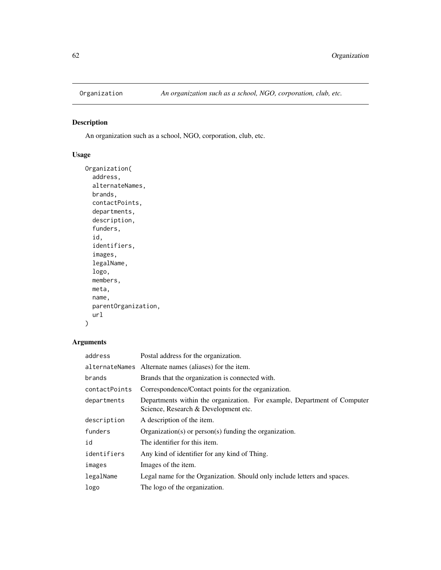An organization such as a school, NGO, corporation, club, etc.

### Usage

```
Organization(
  address,
  alternateNames,
 brands,
  contactPoints,
  departments,
  description,
  funders,
  id,
  identifiers,
  images,
  legalName,
  logo,
 members,
 meta,
 name,
 parentOrganization,
 url
)
```

| address       | Postal address for the organization.                                                                             |
|---------------|------------------------------------------------------------------------------------------------------------------|
|               | alternateNames Alternate names (aliases) for the item.                                                           |
| brands        | Brands that the organization is connected with.                                                                  |
| contactPoints | Correspondence/Contact points for the organization.                                                              |
| departments   | Departments within the organization. For example, Department of Computer<br>Science, Research & Development etc. |
| description   | A description of the item.                                                                                       |
| funders       | $Organization(s)$ or person(s) funding the organization.                                                         |
| id            | The identifier for this item.                                                                                    |
| identifiers   | Any kind of identifier for any kind of Thing.                                                                    |
| images        | Images of the item.                                                                                              |
| legalName     | Legal name for the Organization. Should only include letters and spaces.                                         |
| logo          | The logo of the organization.                                                                                    |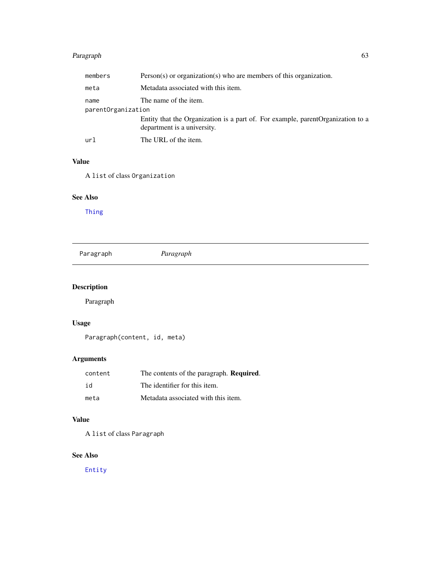# Paragraph 63

| members            | $Person(s)$ or organization(s) who are members of this organization.                                            |
|--------------------|-----------------------------------------------------------------------------------------------------------------|
| meta               | Metadata associated with this item.                                                                             |
| name               | The name of the item.                                                                                           |
| parentOrganization |                                                                                                                 |
|                    | Entity that the Organization is a part of. For example, parent Organization to a<br>department is a university. |
| url                | The URL of the item.                                                                                            |

#### Value

A list of class Organization

### See Also

[Thing](#page-92-0)

|  | Paragraph | Paragraph |  |  |
|--|-----------|-----------|--|--|
|--|-----------|-----------|--|--|

# Description

Paragraph

# Usage

Paragraph(content, id, meta)

# Arguments

| content | The contents of the paragraph. <b>Required.</b> |
|---------|-------------------------------------------------|
| id      | The identifier for this item.                   |
| meta    | Metadata associated with this item.             |

### Value

A list of class Paragraph

### See Also

[Entity](#page-35-0)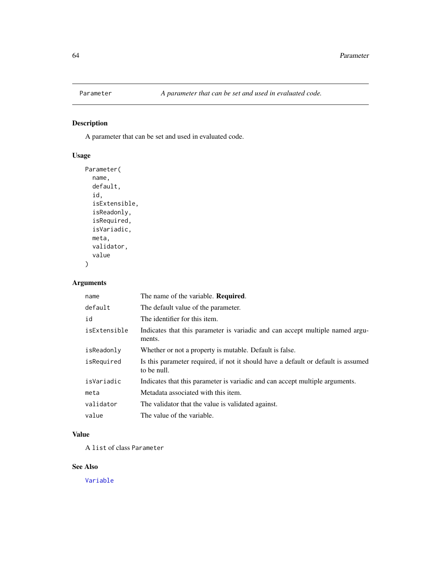A parameter that can be set and used in evaluated code.

### Usage

```
Parameter(
  name,
  default,
  id,
  isExtensible,
  isReadonly,
  isRequired,
  isVariadic,
 meta,
 validator,
  value
)
```
## Arguments

| name         | The name of the variable. <b>Required.</b>                                                       |
|--------------|--------------------------------------------------------------------------------------------------|
| default      | The default value of the parameter.                                                              |
| id           | The identifier for this item.                                                                    |
| isExtensible | Indicates that this parameter is variadic and can accept multiple named argu-<br>ments.          |
| isReadonly   | Whether or not a property is mutable. Default is false.                                          |
| isRequired   | Is this parameter required, if not it should have a default or default is assumed<br>to be null. |
| isVariadic   | Indicates that this parameter is variadic and can accept multiple arguments.                     |
| meta         | Metadata associated with this item.                                                              |
| validator    | The validator that the value is validated against.                                               |
| value        | The value of the variable.                                                                       |

### Value

A list of class Parameter

### See Also

[Variable](#page-95-0)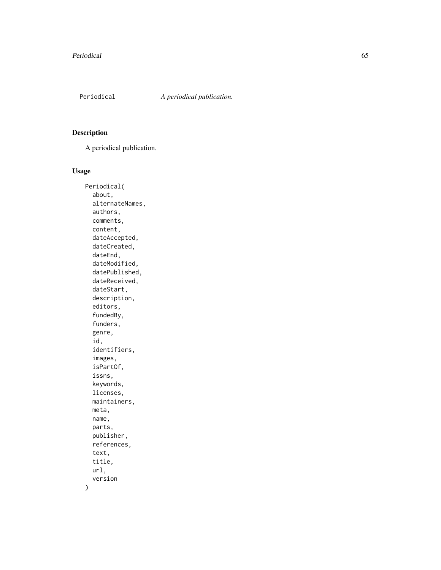A periodical publication.

### Usage

Periodical( about, alternateNames, authors, comments, content, dateAccepted, dateCreated, dateEnd, dateModified, datePublished, dateReceived, dateStart, description, editors, fundedBy, funders, genre, id, identifiers, images, isPartOf, issns, keywords, licenses, maintainers, meta, name, parts, publisher, references, text, title, url, version

 $\mathcal{L}$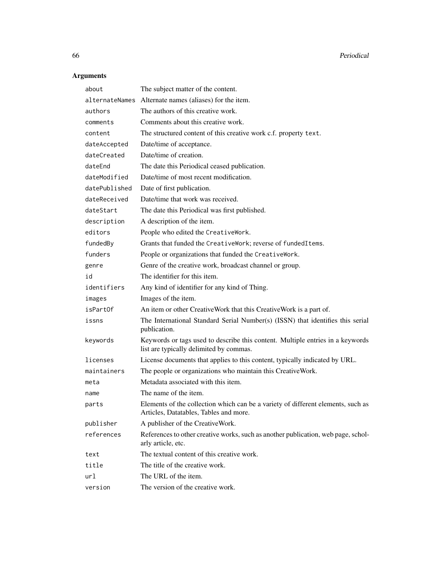| about          | The subject matter of the content.                                                                                         |
|----------------|----------------------------------------------------------------------------------------------------------------------------|
| alternateNames | Alternate names (aliases) for the item.                                                                                    |
| authors        | The authors of this creative work.                                                                                         |
| comments       | Comments about this creative work.                                                                                         |
| content        | The structured content of this creative work c.f. property text.                                                           |
| dateAccepted   | Date/time of acceptance.                                                                                                   |
| dateCreated    | Date/time of creation.                                                                                                     |
| dateEnd        | The date this Periodical ceased publication.                                                                               |
| dateModified   | Date/time of most recent modification.                                                                                     |
| datePublished  | Date of first publication.                                                                                                 |
| dateReceived   | Date/time that work was received.                                                                                          |
| dateStart      | The date this Periodical was first published.                                                                              |
| description    | A description of the item.                                                                                                 |
| editors        | People who edited the CreativeWork.                                                                                        |
| fundedBy       | Grants that funded the CreativeWork; reverse of fundedItems.                                                               |
| funders        | People or organizations that funded the CreativeWork.                                                                      |
| genre          | Genre of the creative work, broadcast channel or group.                                                                    |
| id             | The identifier for this item.                                                                                              |
| identifiers    | Any kind of identifier for any kind of Thing.                                                                              |
| images         | Images of the item.                                                                                                        |
| isPartOf       | An item or other CreativeWork that this CreativeWork is a part of.                                                         |
| issns          | The International Standard Serial Number(s) (ISSN) that identifies this serial<br>publication.                             |
| keywords       | Keywords or tags used to describe this content. Multiple entries in a keywords<br>list are typically delimited by commas.  |
| licenses       | License documents that applies to this content, typically indicated by URL.                                                |
| maintainers    | The people or organizations who maintain this CreativeWork.                                                                |
| meta           | Metadata associated with this item.                                                                                        |
| name           | The name of the item.                                                                                                      |
| parts          | Elements of the collection which can be a variety of different elements, such as<br>Articles, Datatables, Tables and more. |
| publisher      | A publisher of the CreativeWork.                                                                                           |
| references     | References to other creative works, such as another publication, web page, schol-<br>arly article, etc.                    |
| text           | The textual content of this creative work.                                                                                 |
| title          | The title of the creative work.                                                                                            |
| url            | The URL of the item.                                                                                                       |
| version        | The version of the creative work.                                                                                          |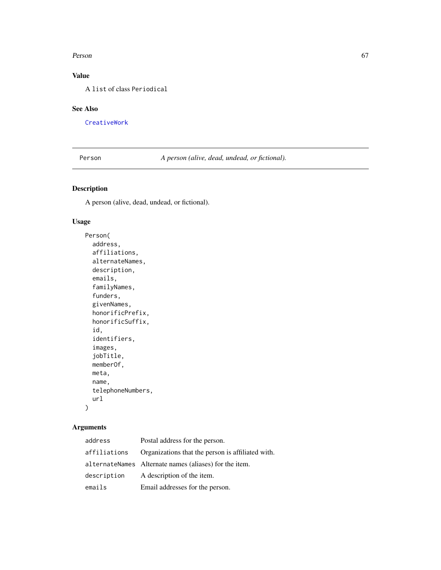#### Person 67

## Value

A list of class Periodical

#### See Also

[CreativeWork](#page-27-0)

Person *A person (alive, dead, undead, or fictional).*

### Description

A person (alive, dead, undead, or fictional).

## Usage

```
Person(
  address,
  affiliations,
 alternateNames,
  description,
  emails,
  familyNames,
  funders,
  givenNames,
  honorificPrefix,
  honorificSuffix,
  id,
  identifiers,
  images,
  jobTitle,
 memberOf,
 meta,
 name,
  telephoneNumbers,
  url
)
```

| address      | Postal address for the person.                         |
|--------------|--------------------------------------------------------|
| affiliations | Organizations that the person is affiliated with.      |
|              | alternateNames Alternate names (aliases) for the item. |
| description  | A description of the item.                             |
| emails       | Email addresses for the person.                        |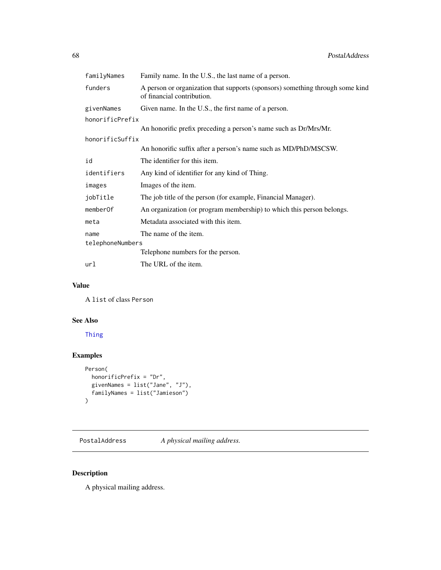| familyNames      | Family name. In the U.S., the last name of a person.                                                        |
|------------------|-------------------------------------------------------------------------------------------------------------|
| funders          | A person or organization that supports (sponsors) something through some kind<br>of financial contribution. |
| givenNames       | Given name. In the U.S., the first name of a person.                                                        |
| honorificPrefix  |                                                                                                             |
|                  | An honorific prefix preceding a person's name such as Dr/Mrs/Mr.                                            |
| honorificSuffix  |                                                                                                             |
|                  | An honorific suffix after a person's name such as MD/PhD/MSCSW.                                             |
| id               | The identifier for this item.                                                                               |
| identifiers      | Any kind of identifier for any kind of Thing.                                                               |
| images           | Images of the item.                                                                                         |
| jobTitle         | The job title of the person (for example, Financial Manager).                                               |
| memberOf         | An organization (or program membership) to which this person belongs.                                       |
| meta             | Metadata associated with this item.                                                                         |
| name             | The name of the item.                                                                                       |
| telephoneNumbers |                                                                                                             |
|                  | Telephone numbers for the person.                                                                           |
| url              | The URL of the item.                                                                                        |

### Value

A list of class Person

### See Also

[Thing](#page-92-0)

## Examples

```
Person(
  honorificPrefix = "Dr",
  givenNames = list("Jane", "J"),
  familyNames = list("Jamieson")
\mathcal{L}
```
PostalAddress *A physical mailing address.*

# Description

A physical mailing address.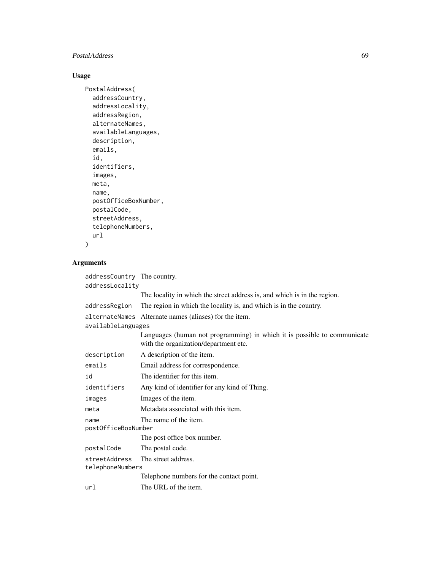### PostalAddress 69

### Usage

```
PostalAddress(
 addressCountry,
  addressLocality,
  addressRegion,
  alternateNames,
  availableLanguages,
  description,
  emails,
  id,
  identifiers,
  images,
 meta,
 name,
 postOfficeBoxNumber,
 postalCode,
  streetAddress,
  telephoneNumbers,
  url
\mathcal{L}
```

| addressCountry The country.<br>addressLocality |                                                                                                                   |
|------------------------------------------------|-------------------------------------------------------------------------------------------------------------------|
|                                                | The locality in which the street address is, and which is in the region.                                          |
| addressRegion                                  | The region in which the locality is, and which is in the country.                                                 |
|                                                | alternateNames Alternate names (aliases) for the item.                                                            |
| availableLanguages                             | Languages (human not programming) in which it is possible to communicate<br>with the organization/department etc. |
| description                                    | A description of the item.                                                                                        |
| emails                                         | Email address for correspondence.                                                                                 |
| id                                             | The identifier for this item.                                                                                     |
| identifiers                                    | Any kind of identifier for any kind of Thing.                                                                     |
| images                                         | Images of the item.                                                                                               |
| meta                                           | Metadata associated with this item.                                                                               |
| name<br>postOfficeBoxNumber                    | The name of the item.                                                                                             |
|                                                | The post office box number.                                                                                       |
| postalCode                                     | The postal code.                                                                                                  |
| streetAddress<br>telephoneNumbers              | The street address.                                                                                               |
|                                                | Telephone numbers for the contact point.                                                                          |
| url                                            | The URL of the item.                                                                                              |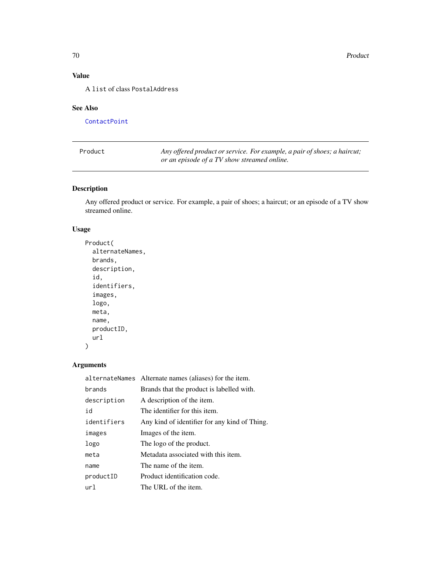# Value

A list of class PostalAddress

### See Also

**[ContactPoint](#page-26-0)** 

| Product | Any offered product or service. For example, a pair of shoes; a haircut; |
|---------|--------------------------------------------------------------------------|
|         | or an episode of a TV show streamed online.                              |

### Description

Any offered product or service. For example, a pair of shoes; a haircut; or an episode of a TV show streamed online.

### Usage

```
Product(
 alternateNames,
 brands,
 description,
  id,
  identifiers,
  images,
  logo,
 meta,
 name,
 productID,
 url
)
```

|             | alternateNames Alternate names (aliases) for the item. |
|-------------|--------------------------------------------------------|
| brands      | Brands that the product is labelled with.              |
| description | A description of the item.                             |
| id          | The identifier for this item.                          |
| identifiers | Any kind of identifier for any kind of Thing.          |
| images      | Images of the item.                                    |
| logo        | The logo of the product.                               |
| meta        | Metadata associated with this item.                    |
| name        | The name of the item.                                  |
| productID   | Product identification code.                           |
| url         | The URL of the item.                                   |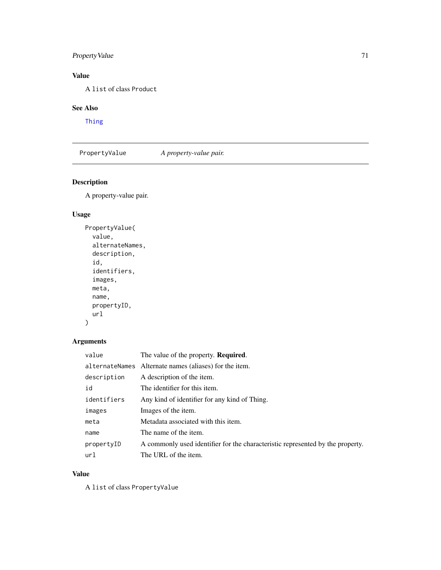## PropertyValue 71

### Value

A list of class Product

### See Also

[Thing](#page-92-0)

PropertyValue *A property-value pair.*

## Description

A property-value pair.

### Usage

```
PropertyValue(
  value,
  alternateNames,
  description,
  id,
  identifiers,
  images,
  meta,
  name,
  propertyID,
  url
\mathcal{L}
```
## Arguments

| value       | The value of the property. <b>Required.</b>                                    |
|-------------|--------------------------------------------------------------------------------|
|             | alternateNames Alternate names (aliases) for the item.                         |
| description | A description of the item.                                                     |
| id          | The identifier for this item.                                                  |
| identifiers | Any kind of identifier for any kind of Thing.                                  |
| images      | Images of the item.                                                            |
| meta        | Metadata associated with this item.                                            |
| name        | The name of the item.                                                          |
| propertyID  | A commonly used identifier for the characteristic represented by the property. |
| url         | The URL of the item.                                                           |

#### Value

A list of class PropertyValue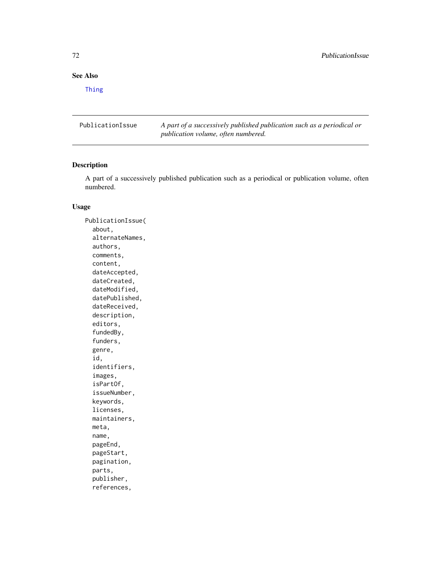## See Also

[Thing](#page-92-0)

PublicationIssue *A part of a successively published publication such as a periodical or publication volume, often numbered.*

#### Description

A part of a successively published publication such as a periodical or publication volume, often numbered.

#### Usage

PublicationIssue( about, alternateNames, authors, comments, content, dateAccepted, dateCreated, dateModified, datePublished, dateReceived, description, editors, fundedBy, funders, genre, id, identifiers, images, isPartOf, issueNumber, keywords, licenses, maintainers, meta, name, pageEnd, pageStart, pagination, parts, publisher, references,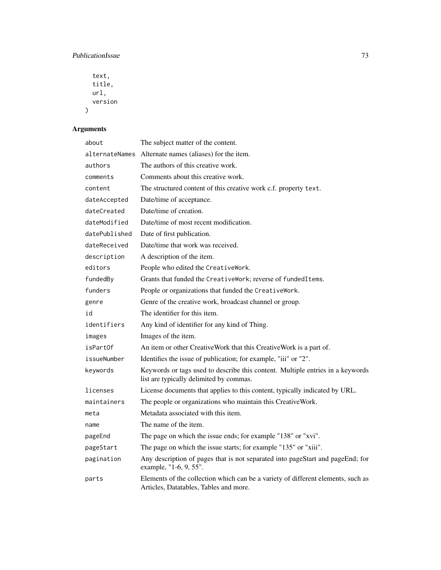### PublicationIssue 73

```
text,
 title,
 url,
 version
)
```

| about          | The subject matter of the content.                                                                                         |
|----------------|----------------------------------------------------------------------------------------------------------------------------|
| alternateNames | Alternate names (aliases) for the item.                                                                                    |
| authors        | The authors of this creative work.                                                                                         |
| comments       | Comments about this creative work.                                                                                         |
| content        | The structured content of this creative work c.f. property text.                                                           |
| dateAccepted   | Date/time of acceptance.                                                                                                   |
| dateCreated    | Date/time of creation.                                                                                                     |
| dateModified   | Date/time of most recent modification.                                                                                     |
| datePublished  | Date of first publication.                                                                                                 |
| dateReceived   | Date/time that work was received.                                                                                          |
| description    | A description of the item.                                                                                                 |
| editors        | People who edited the CreativeWork.                                                                                        |
| fundedBy       | Grants that funded the CreativeWork; reverse of fundedItems.                                                               |
| funders        | People or organizations that funded the CreativeWork.                                                                      |
| genre          | Genre of the creative work, broadcast channel or group.                                                                    |
| id             | The identifier for this item.                                                                                              |
| identifiers    | Any kind of identifier for any kind of Thing.                                                                              |
| images         | Images of the item.                                                                                                        |
| isPartOf       | An item or other CreativeWork that this CreativeWork is a part of.                                                         |
| issueNumber    | Identifies the issue of publication; for example, "iii" or "2".                                                            |
| keywords       | Keywords or tags used to describe this content. Multiple entries in a keywords<br>list are typically delimited by commas.  |
| licenses       | License documents that applies to this content, typically indicated by URL.                                                |
| maintainers    | The people or organizations who maintain this CreativeWork.                                                                |
| meta           | Metadata associated with this item.                                                                                        |
| name           | The name of the item.                                                                                                      |
| pageEnd        | The page on which the issue ends; for example "138" or "xvi".                                                              |
| pageStart      | The page on which the issue starts; for example "135" or "xiii".                                                           |
| pagination     | Any description of pages that is not separated into pageStart and pageEnd; for<br>example, "1-6, 9, 55".                   |
| parts          | Elements of the collection which can be a variety of different elements, such as<br>Articles, Datatables, Tables and more. |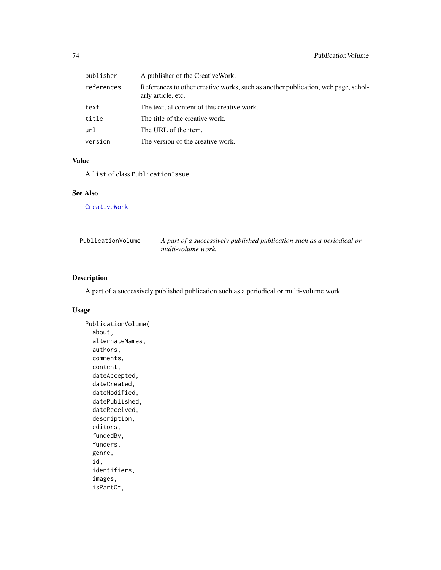<span id="page-73-0"></span>

| publisher  | A publisher of the CreativeWork.                                                                        |
|------------|---------------------------------------------------------------------------------------------------------|
| references | References to other creative works, such as another publication, web page, schol-<br>arly article, etc. |
| text       | The textual content of this creative work.                                                              |
| title      | The title of the creative work.                                                                         |
| url        | The URL of the item.                                                                                    |
| version    | The version of the creative work.                                                                       |

### Value

A list of class PublicationIssue

### See Also

[CreativeWork](#page-27-0)

| PublicationVolume | A part of a successively published publication such as a periodical or |
|-------------------|------------------------------------------------------------------------|
|                   | multi-volume work.                                                     |

### Description

A part of a successively published publication such as a periodical or multi-volume work.

#### Usage

```
PublicationVolume(
  about,
 alternateNames,
  authors,
  comments,
  content,
  dateAccepted,
  dateCreated,
  dateModified,
  datePublished,
  dateReceived,
  description,
  editors,
  fundedBy,
  funders,
  genre,
  id,
  identifiers,
  images,
  isPartOf,
```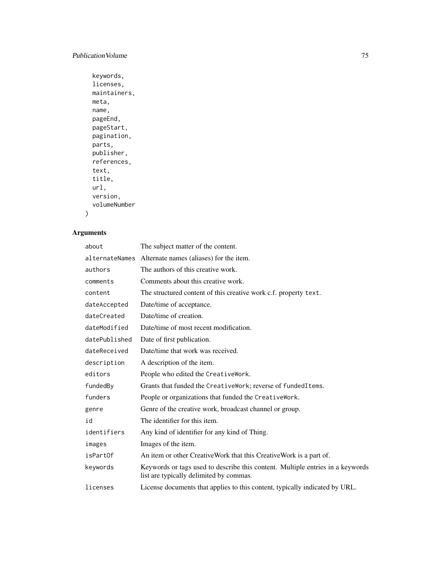### Publication Volume 75

```
keywords,
licenses,
maintainers,
meta,
name,
pageEnd,
pageStart,
pagination,
parts,
publisher,
references,
text,
title,
url,
version,
volumeNumber
```

```
)
```

| about          | The subject matter of the content.                                                                                        |
|----------------|---------------------------------------------------------------------------------------------------------------------------|
| alternateNames | Alternate names (aliases) for the item.                                                                                   |
| authors        | The authors of this creative work.                                                                                        |
| comments       | Comments about this creative work.                                                                                        |
| content        | The structured content of this creative work c.f. property text.                                                          |
| dateAccepted   | Date/time of acceptance.                                                                                                  |
| dateCreated    | Date/time of creation.                                                                                                    |
| dateModified   | Date/time of most recent modification.                                                                                    |
| datePublished  | Date of first publication.                                                                                                |
| dateReceived   | Date/time that work was received.                                                                                         |
| description    | A description of the item.                                                                                                |
| editors        | People who edited the CreativeWork.                                                                                       |
| fundedBy       | Grants that funded the CreativeWork; reverse of fundedItems.                                                              |
| funders        | People or organizations that funded the CreativeWork.                                                                     |
| genre          | Genre of the creative work, broadcast channel or group.                                                                   |
| id             | The identifier for this item.                                                                                             |
| identifiers    | Any kind of identifier for any kind of Thing.                                                                             |
| images         | Images of the item.                                                                                                       |
| isPartOf       | An item or other CreativeWork that this CreativeWork is a part of.                                                        |
| keywords       | Keywords or tags used to describe this content. Multiple entries in a keywords<br>list are typically delimited by commas. |
| licenses       | License documents that applies to this content, typically indicated by URL.                                               |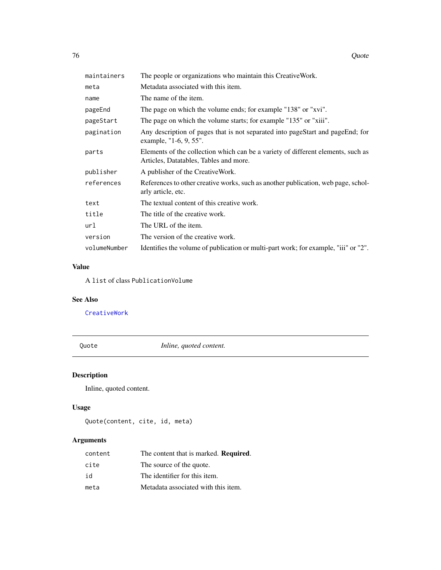<span id="page-75-0"></span>

| maintainers  | The people or organizations who maintain this Creative Work.                                                               |
|--------------|----------------------------------------------------------------------------------------------------------------------------|
| meta         | Metadata associated with this item.                                                                                        |
| name         | The name of the item.                                                                                                      |
| pageEnd      | The page on which the volume ends; for example "138" or "xvi".                                                             |
| pageStart    | The page on which the volume starts; for example "135" or "xiii".                                                          |
| pagination   | Any description of pages that is not separated into pageStart and pageEnd; for<br>example, "1-6, 9, 55".                   |
| parts        | Elements of the collection which can be a variety of different elements, such as<br>Articles, Datatables, Tables and more. |
| publisher    | A publisher of the CreativeWork.                                                                                           |
| references   | References to other creative works, such as another publication, web page, schol-<br>arly article, etc.                    |
| text         | The textual content of this creative work.                                                                                 |
| title        | The title of the creative work.                                                                                            |
| url          | The URL of the item.                                                                                                       |
| version      | The version of the creative work.                                                                                          |
| volumeNumber | Identifies the volume of publication or multi-part work; for example, "iii" or "2".                                        |

### Value

A list of class PublicationVolume

### See Also

[CreativeWork](#page-27-0)

Quote *Inline, quoted content.*

### Description

Inline, quoted content.

### Usage

```
Quote(content, cite, id, meta)
```

| content | The content that is marked. <b>Required.</b> |
|---------|----------------------------------------------|
| cite    | The source of the quote.                     |
| id      | The identifier for this item.                |
| meta    | Metadata associated with this item.          |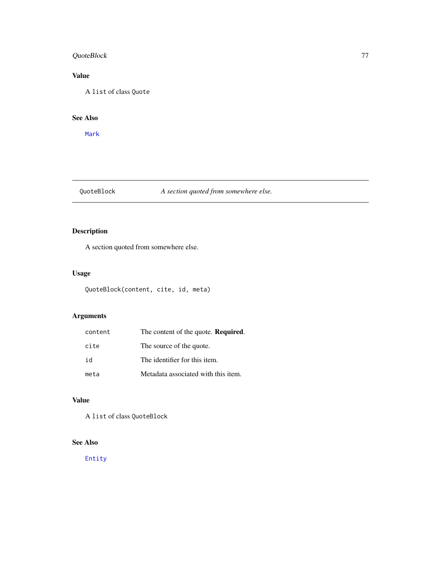### <span id="page-76-0"></span>QuoteBlock 77

### Value

A list of class Quote

### See Also

[Mark](#page-51-0)

### QuoteBlock *A section quoted from somewhere else.*

### Description

A section quoted from somewhere else.

### Usage

QuoteBlock(content, cite, id, meta)

### Arguments

| content | The content of the quote. <b>Required.</b> |
|---------|--------------------------------------------|
| cite    | The source of the quote.                   |
| id      | The identifier for this item.              |
| meta    | Metadata associated with this item.        |

### Value

A list of class QuoteBlock

### See Also

[Entity](#page-35-0)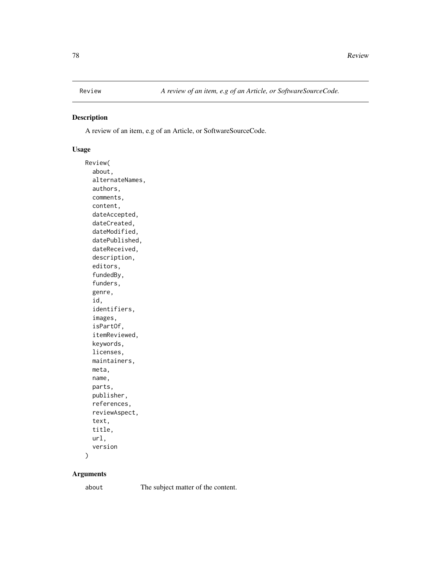<span id="page-77-0"></span>

A review of an item, e.g of an Article, or SoftwareSourceCode.

#### Usage

Review( about, alternateNames, authors, comments, content, dateAccepted, dateCreated, dateModified, datePublished, dateReceived, description, editors, fundedBy, funders, genre, id, identifiers, images, isPartOf, itemReviewed, keywords, licenses, maintainers, meta, name, parts, publisher, references, reviewAspect, text, title, url, version

 $\mathcal{E}$ 

### Arguments

about The subject matter of the content.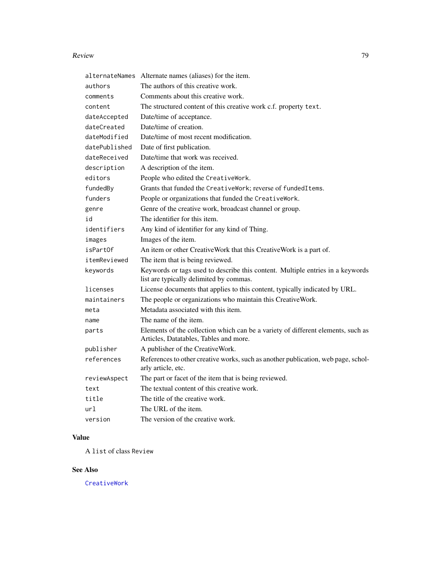#### <span id="page-78-0"></span>Review 79

|               | alternateNames Alternate names (aliases) for the item.                                                                     |
|---------------|----------------------------------------------------------------------------------------------------------------------------|
| authors       | The authors of this creative work.                                                                                         |
| comments      | Comments about this creative work.                                                                                         |
| content       | The structured content of this creative work c.f. property text.                                                           |
| dateAccepted  | Date/time of acceptance.                                                                                                   |
| dateCreated   | Date/time of creation.                                                                                                     |
| dateModified  | Date/time of most recent modification.                                                                                     |
| datePublished | Date of first publication.                                                                                                 |
| dateReceived  | Date/time that work was received.                                                                                          |
| description   | A description of the item.                                                                                                 |
| editors       | People who edited the CreativeWork.                                                                                        |
| fundedBy      | Grants that funded the CreativeWork; reverse of fundedItems.                                                               |
| funders       | People or organizations that funded the CreativeWork.                                                                      |
| genre         | Genre of the creative work, broadcast channel or group.                                                                    |
| id            | The identifier for this item.                                                                                              |
| identifiers   | Any kind of identifier for any kind of Thing.                                                                              |
| images        | Images of the item.                                                                                                        |
| isPartOf      | An item or other CreativeWork that this CreativeWork is a part of.                                                         |
| itemReviewed  | The item that is being reviewed.                                                                                           |
| keywords      | Keywords or tags used to describe this content. Multiple entries in a keywords<br>list are typically delimited by commas.  |
| licenses      | License documents that applies to this content, typically indicated by URL.                                                |
| maintainers   | The people or organizations who maintain this CreativeWork.                                                                |
| meta          | Metadata associated with this item.                                                                                        |
| name          | The name of the item.                                                                                                      |
| parts         | Elements of the collection which can be a variety of different elements, such as<br>Articles, Datatables, Tables and more. |
| publisher     | A publisher of the CreativeWork.                                                                                           |
| references    | References to other creative works, such as another publication, web page, schol-<br>arly article, etc.                    |
| reviewAspect  | The part or facet of the item that is being reviewed.                                                                      |
| text          | The textual content of this creative work.                                                                                 |
| title         | The title of the creative work.                                                                                            |
| url           | The URL of the item.                                                                                                       |
| version       | The version of the creative work.                                                                                          |

### Value

A list of class Review

### See Also

[CreativeWork](#page-27-0)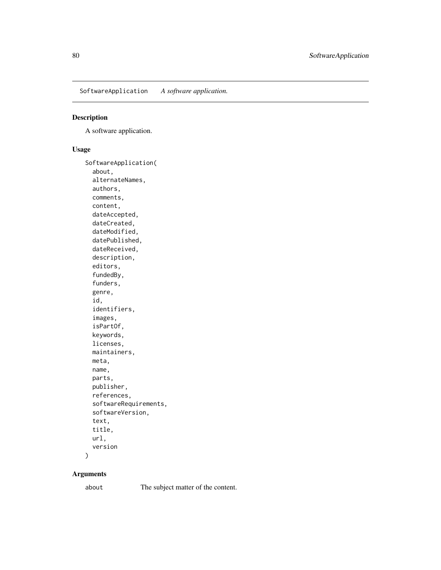<span id="page-79-0"></span>SoftwareApplication *A software application.*

### Description

A software application.

#### Usage

SoftwareApplication( about, alternateNames, authors, comments, content, dateAccepted, dateCreated, dateModified, datePublished, dateReceived, description, editors, fundedBy, funders, genre, id, identifiers, images, isPartOf, keywords, licenses, maintainers, meta, name, parts, publisher, references, softwareRequirements, softwareVersion, text, title, url, version

 $\mathcal{E}$ 

### Arguments

about The subject matter of the content.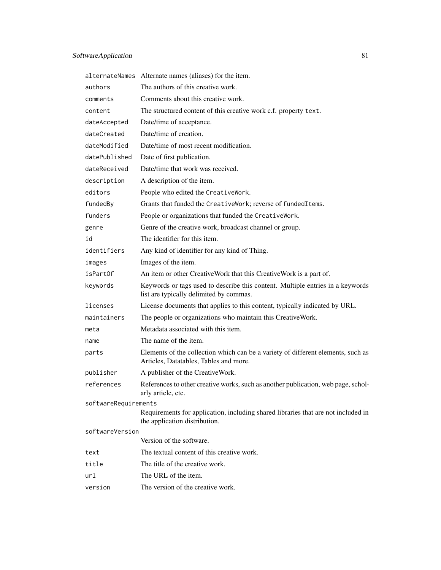|                      | alternateNames Alternate names (aliases) for the item.                                                                     |
|----------------------|----------------------------------------------------------------------------------------------------------------------------|
| authors              | The authors of this creative work.                                                                                         |
| comments             | Comments about this creative work.                                                                                         |
| content              | The structured content of this creative work c.f. property text.                                                           |
| dateAccepted         | Date/time of acceptance.                                                                                                   |
| dateCreated          | Date/time of creation.                                                                                                     |
| dateModified         | Date/time of most recent modification.                                                                                     |
| datePublished        | Date of first publication.                                                                                                 |
| dateReceived         | Date/time that work was received.                                                                                          |
| description          | A description of the item.                                                                                                 |
| editors              | People who edited the CreativeWork.                                                                                        |
| fundedBy             | Grants that funded the CreativeWork; reverse of fundedItems.                                                               |
| funders              | People or organizations that funded the CreativeWork.                                                                      |
| genre                | Genre of the creative work, broadcast channel or group.                                                                    |
| id                   | The identifier for this item.                                                                                              |
| identifiers          | Any kind of identifier for any kind of Thing.                                                                              |
| images               | Images of the item.                                                                                                        |
| isPartOf             | An item or other CreativeWork that this CreativeWork is a part of.                                                         |
| keywords             | Keywords or tags used to describe this content. Multiple entries in a keywords<br>list are typically delimited by commas.  |
| licenses             | License documents that applies to this content, typically indicated by URL.                                                |
| maintainers          | The people or organizations who maintain this CreativeWork.                                                                |
| meta                 | Metadata associated with this item.                                                                                        |
| name                 | The name of the item.                                                                                                      |
| parts                | Elements of the collection which can be a variety of different elements, such as<br>Articles, Datatables, Tables and more. |
| publisher            | A publisher of the CreativeWork.                                                                                           |
| references           | References to other creative works, such as another publication, web page, schol-<br>arly article, etc.                    |
| softwareRequirements |                                                                                                                            |
|                      | Requirements for application, including shared libraries that are not included in<br>the application distribution.         |
| softwareVersion      | Version of the software.                                                                                                   |
|                      |                                                                                                                            |
| text                 | The textual content of this creative work.                                                                                 |
| title                | The title of the creative work.                                                                                            |
| url                  | The URL of the item.                                                                                                       |
| version              | The version of the creative work.                                                                                          |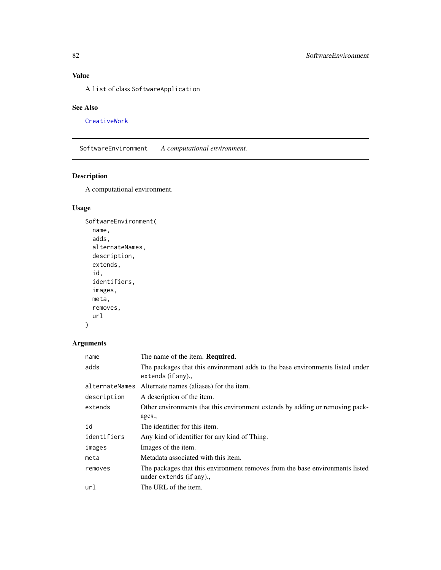### <span id="page-81-0"></span>Value

A list of class SoftwareApplication

### See Also

[CreativeWork](#page-27-0)

SoftwareEnvironment *A computational environment.*

### Description

A computational environment.

### Usage

```
SoftwareEnvironment(
 name,
 adds,
 alternateNames,
 description,
 extends,
  id,
  identifiers,
 images,
 meta,
 removes,
 url
)
```

| name           | The name of the item. <b>Required.</b>                                                                   |
|----------------|----------------------------------------------------------------------------------------------------------|
| adds           | The packages that this environment adds to the base environments listed under<br>extends (if any).,      |
| alternateNames | Alternate names (aliases) for the item.                                                                  |
| description    | A description of the item.                                                                               |
| extends        | Other environments that this environment extends by adding or removing pack-                             |
|                | ages.,                                                                                                   |
| id             | The identifier for this item.                                                                            |
| identifiers    | Any kind of identifier for any kind of Thing.                                                            |
| images         | Images of the item.                                                                                      |
| meta           | Metadata associated with this item.                                                                      |
| removes        | The packages that this environment removes from the base environments listed<br>under extends (if any)., |
| url            | The URL of the item.                                                                                     |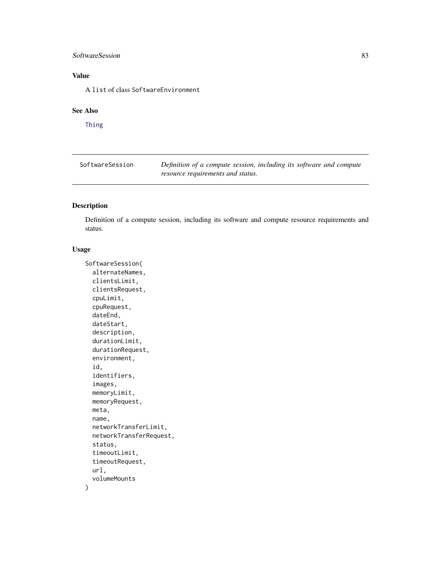### <span id="page-82-0"></span>SoftwareSession 83

### Value

A list of class SoftwareEnvironment

#### See Also

[Thing](#page-92-0)

| SoftwareSession | Definition of a compute session, including its software and compute |  |  |
|-----------------|---------------------------------------------------------------------|--|--|
|                 | resource requirements and status.                                   |  |  |

### Description

Definition of a compute session, including its software and compute resource requirements and status.

### Usage

```
SoftwareSession(
  alternateNames,
  clientsLimit,
  clientsRequest,
  cpuLimit,
  cpuRequest,
  dateEnd,
  dateStart,
  description,
  durationLimit,
  durationRequest,
  environment,
  id,
  identifiers,
  images,
 memoryLimit,
 memoryRequest,
  meta,
  name,
  networkTransferLimit,
  networkTransferRequest,
  status,
  timeoutLimit,
  timeoutRequest,
  url,
  volumeMounts
\mathcal{E}
```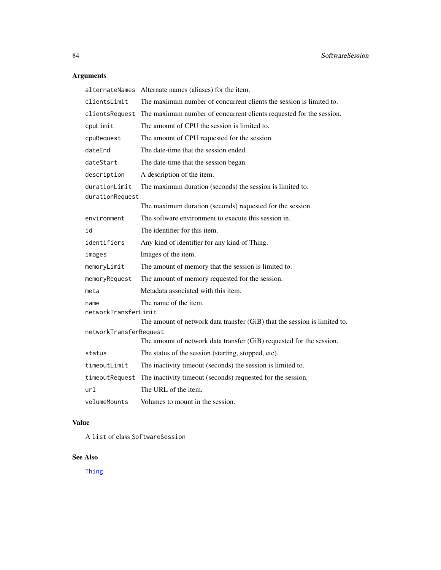### <span id="page-83-0"></span>Arguments

| alternateNames         | Alternate names (aliases) for the item.                                   |
|------------------------|---------------------------------------------------------------------------|
| clientsLimit           | The maximum number of concurrent clients the session is limited to.       |
| clientsRequest         | The maximum number of concurrent clients requested for the session.       |
| cpuLimit               | The amount of CPU the session is limited to.                              |
| cpuRequest             | The amount of CPU requested for the session.                              |
| dateEnd                | The date-time that the session ended.                                     |
| dateStart              | The date-time that the session began.                                     |
| description            | A description of the item.                                                |
| durationLimit          | The maximum duration (seconds) the session is limited to.                 |
| durationRequest        |                                                                           |
|                        | The maximum duration (seconds) requested for the session.                 |
| environment            | The software environment to execute this session in.                      |
| id                     | The identifier for this item.                                             |
| identifiers            | Any kind of identifier for any kind of Thing.                             |
| images                 | Images of the item.                                                       |
| memoryLimit            | The amount of memory that the session is limited to.                      |
| memoryRequest          | The amount of memory requested for the session.                           |
| meta                   | Metadata associated with this item.                                       |
| name                   | The name of the item.                                                     |
| networkTransferLimit   |                                                                           |
|                        | The amount of network data transfer (GiB) that the session is limited to. |
| networkTransferRequest |                                                                           |
|                        | The amount of network data transfer (GiB) requested for the session.      |
| status                 | The status of the session (starting, stopped, etc).                       |
| timeoutLimit           | The inactivity timeout (seconds) the session is limited to.               |
| timeoutRequest         | The inactivity timeout (seconds) requested for the session.               |
| url                    | The URL of the item.                                                      |
| volumeMounts           | Volumes to mount in the session.                                          |

### Value

A list of class SoftwareSession

### See Also

[Thing](#page-92-0)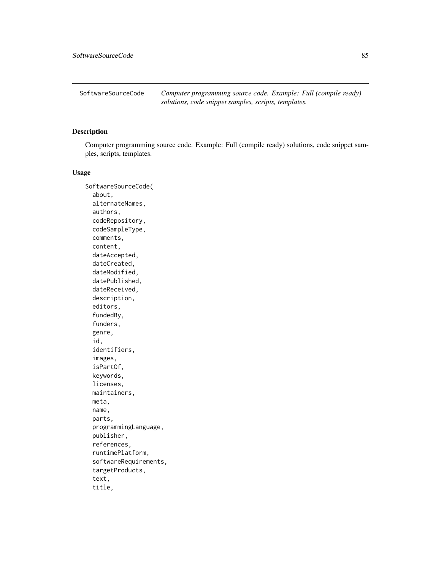<span id="page-84-0"></span>SoftwareSourceCode *Computer programming source code. Example: Full (compile ready) solutions, code snippet samples, scripts, templates.*

### Description

Computer programming source code. Example: Full (compile ready) solutions, code snippet samples, scripts, templates.

#### Usage

SoftwareSourceCode( about, alternateNames, authors, codeRepository, codeSampleType, comments, content, dateAccepted, dateCreated, dateModified, datePublished, dateReceived, description, editors, fundedBy, funders, genre, id, identifiers, images, isPartOf, keywords, licenses, maintainers, meta, name, parts, programmingLanguage, publisher, references, runtimePlatform, softwareRequirements, targetProducts, text, title,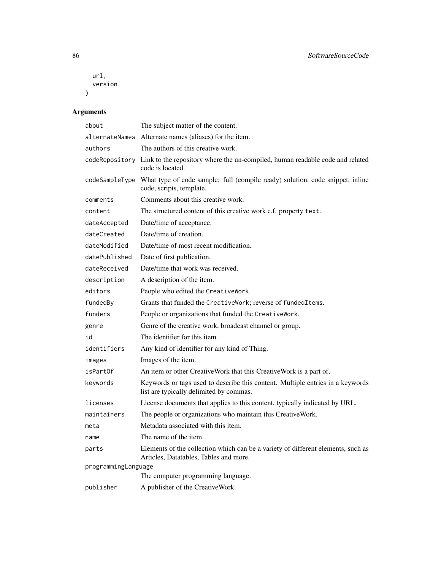```
url,
 version
)
```

| about               | The subject matter of the content.                                                                                         |  |
|---------------------|----------------------------------------------------------------------------------------------------------------------------|--|
| alternateNames      | Alternate names (aliases) for the item.                                                                                    |  |
| authors             | The authors of this creative work.                                                                                         |  |
|                     | codeRepository Link to the repository where the un-compiled, human readable code and related<br>code is located.           |  |
| codeSampleType      | What type of code sample: full (compile ready) solution, code snippet, inline<br>code, scripts, template.                  |  |
| comments            | Comments about this creative work.                                                                                         |  |
| content             | The structured content of this creative work c.f. property text.                                                           |  |
| dateAccepted        | Date/time of acceptance.                                                                                                   |  |
| dateCreated         | Date/time of creation.                                                                                                     |  |
| dateModified        | Date/time of most recent modification.                                                                                     |  |
| datePublished       | Date of first publication.                                                                                                 |  |
| dateReceived        | Date/time that work was received.                                                                                          |  |
| description         | A description of the item.                                                                                                 |  |
| editors             | People who edited the CreativeWork.                                                                                        |  |
| fundedBy            | Grants that funded the CreativeWork; reverse of fundedItems.                                                               |  |
| funders             | People or organizations that funded the CreativeWork.                                                                      |  |
| genre               | Genre of the creative work, broadcast channel or group.                                                                    |  |
| id                  | The identifier for this item.                                                                                              |  |
| identifiers         | Any kind of identifier for any kind of Thing.                                                                              |  |
| images              | Images of the item.                                                                                                        |  |
| isPartOf            | An item or other CreativeWork that this CreativeWork is a part of.                                                         |  |
| keywords            | Keywords or tags used to describe this content. Multiple entries in a keywords<br>list are typically delimited by commas.  |  |
| licenses            | License documents that applies to this content, typically indicated by URL.                                                |  |
| maintainers         | The people or organizations who maintain this CreativeWork.                                                                |  |
| meta                | Metadata associated with this item.                                                                                        |  |
| name                | The name of the item.                                                                                                      |  |
| parts               | Elements of the collection which can be a variety of different elements, such as<br>Articles, Datatables, Tables and more. |  |
| programmingLanguage |                                                                                                                            |  |
|                     | The computer programming language.                                                                                         |  |
| publisher           | A publisher of the CreativeWork.                                                                                           |  |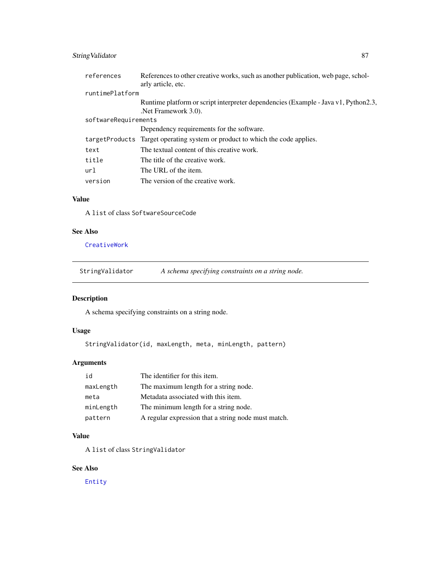### <span id="page-86-0"></span>String Validator 87

| references           | References to other creative works, such as another publication, web page, schol-<br>arly article, etc.   |
|----------------------|-----------------------------------------------------------------------------------------------------------|
| runtimePlatform      |                                                                                                           |
|                      | Runtime platform or script interpreter dependencies (Example - Java v1, Python2.3,<br>Net Framework 3.0). |
| softwareRequirements |                                                                                                           |
|                      | Dependency requirements for the software.                                                                 |
|                      | targetProducts Target operating system or product to which the code applies.                              |
| text                 | The textual content of this creative work.                                                                |
| title                | The title of the creative work.                                                                           |
| url                  | The URL of the item.                                                                                      |
| version              | The version of the creative work.                                                                         |

#### Value

A list of class SoftwareSourceCode

### See Also

[CreativeWork](#page-27-0)

StringValidator *A schema specifying constraints on a string node.*

### Description

A schema specifying constraints on a string node.

### Usage

StringValidator(id, maxLength, meta, minLength, pattern)

### Arguments

| id        | The identifier for this item.                       |
|-----------|-----------------------------------------------------|
| maxLength | The maximum length for a string node.               |
| meta      | Metadata associated with this item.                 |
| minLength | The minimum length for a string node.               |
| pattern   | A regular expression that a string node must match. |

### Value

A list of class StringValidator

### See Also

[Entity](#page-35-0)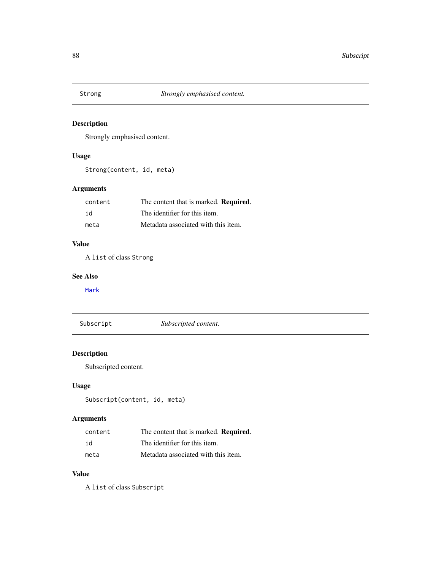<span id="page-87-0"></span>

Strongly emphasised content.

### Usage

Strong(content, id, meta)

### Arguments

| content | The content that is marked. <b>Required.</b> |
|---------|----------------------------------------------|
| id      | The identifier for this item.                |
| meta    | Metadata associated with this item.          |

#### Value

A list of class Strong

### See Also

[Mark](#page-51-0)

| Subscript | Subscripted content. |
|-----------|----------------------|
|-----------|----------------------|

### Description

Subscripted content.

### Usage

Subscript(content, id, meta)

### Arguments

| content | The content that is marked. <b>Required.</b> |
|---------|----------------------------------------------|
| id      | The identifier for this item.                |
| meta    | Metadata associated with this item.          |

### Value

A list of class Subscript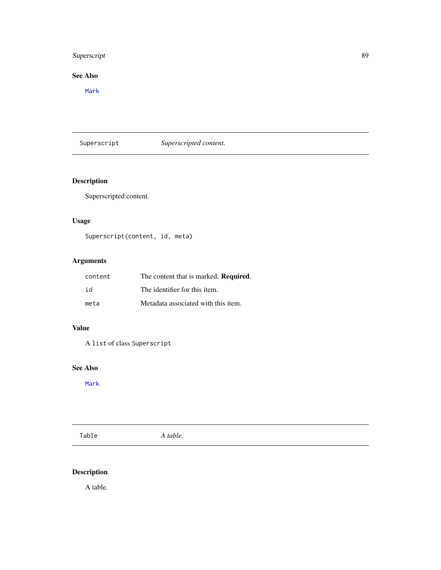### <span id="page-88-0"></span>Superscript 89

### See Also

[Mark](#page-51-0)

### Superscript *Superscripted content.*

### Description

Superscripted content.

### Usage

Superscript(content, id, meta)

### Arguments

| content | The content that is marked. <b>Required.</b> |
|---------|----------------------------------------------|
| id      | The identifier for this item.                |
| meta    | Metadata associated with this item.          |

### Value

A list of class Superscript

### See Also

[Mark](#page-51-0)

Table *A table.*

### Description

A table.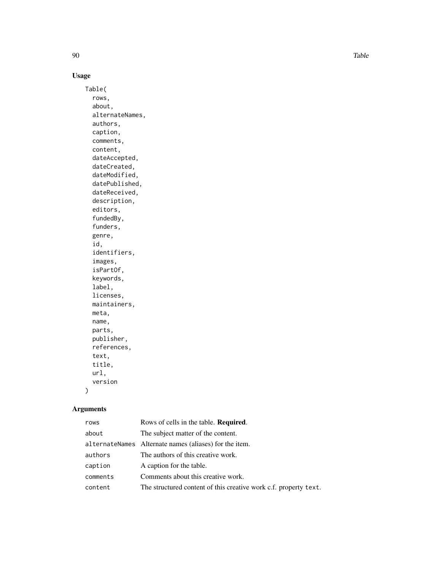90 and the state of the state of the state of the state of the state of the state of the state of the state of the state of the state of the state of the state of the state of the state of the state of the state of the sta

### Usage

Table( rows, about, alternateNames, authors, caption, comments, content, dateAccepted, dateCreated, dateModified, datePublished, dateReceived, description, editors, fundedBy, funders, genre, id, identifiers, images, isPartOf, keywords, label, licenses, maintainers, meta, name, parts, publisher, references, text, title, url, version

### Arguments

 $\mathcal{L}$ 

| Rows of cells in the table. <b>Required.</b>                     |
|------------------------------------------------------------------|
| The subject matter of the content.                               |
| alternateNames Alternate names (aliases) for the item.           |
| The authors of this creative work.                               |
| A caption for the table.                                         |
| Comments about this creative work.                               |
| The structured content of this creative work c.f. property text. |
|                                                                  |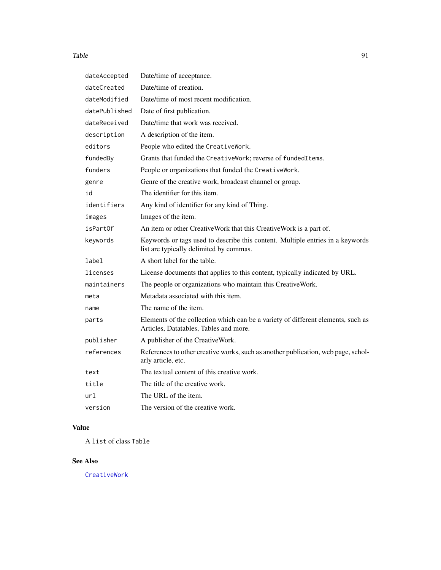#### <span id="page-90-0"></span>Table 91

| dateAccepted  | Date/time of acceptance.                                                                                                   |
|---------------|----------------------------------------------------------------------------------------------------------------------------|
| dateCreated   | Date/time of creation.                                                                                                     |
| dateModified  | Date/time of most recent modification.                                                                                     |
| datePublished | Date of first publication.                                                                                                 |
| dateReceived  | Date/time that work was received.                                                                                          |
| description   | A description of the item.                                                                                                 |
| editors       | People who edited the CreativeWork.                                                                                        |
| fundedBy      | Grants that funded the CreativeWork; reverse of fundedItems.                                                               |
| funders       | People or organizations that funded the CreativeWork.                                                                      |
| genre         | Genre of the creative work, broadcast channel or group.                                                                    |
| id            | The identifier for this item.                                                                                              |
| identifiers   | Any kind of identifier for any kind of Thing.                                                                              |
| images        | Images of the item.                                                                                                        |
| isPartOf      | An item or other CreativeWork that this CreativeWork is a part of.                                                         |
| keywords      | Keywords or tags used to describe this content. Multiple entries in a keywords<br>list are typically delimited by commas.  |
| label         | A short label for the table.                                                                                               |
| licenses      | License documents that applies to this content, typically indicated by URL.                                                |
| maintainers   | The people or organizations who maintain this CreativeWork.                                                                |
| meta          | Metadata associated with this item.                                                                                        |
| name          | The name of the item.                                                                                                      |
| parts         | Elements of the collection which can be a variety of different elements, such as<br>Articles, Datatables, Tables and more. |
| publisher     | A publisher of the CreativeWork.                                                                                           |
| references    | References to other creative works, such as another publication, web page, schol-<br>arly article, etc.                    |
| text          | The textual content of this creative work.                                                                                 |
| title         | The title of the creative work.                                                                                            |
| url           | The URL of the item.                                                                                                       |
| version       | The version of the creative work.                                                                                          |

### Value

A list of class Table

### See Also

[CreativeWork](#page-27-0)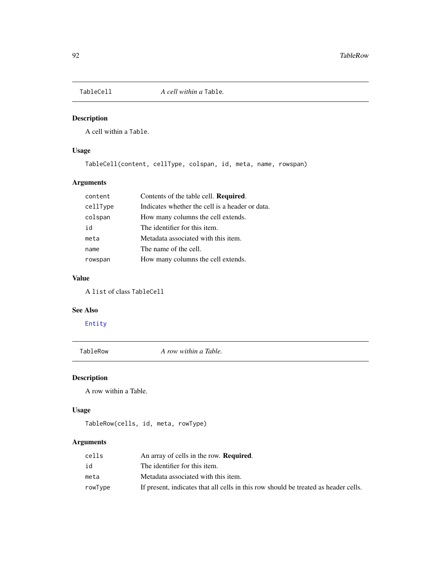<span id="page-91-0"></span>

A cell within a Table.

### Usage

TableCell(content, cellType, colspan, id, meta, name, rowspan)

### Arguments

| content  | Contents of the table cell. Required.           |
|----------|-------------------------------------------------|
| cellType | Indicates whether the cell is a header or data. |
| colspan  | How many columns the cell extends.              |
| id       | The identifier for this item.                   |
| meta     | Metadata associated with this item.             |
| name     | The name of the cell.                           |
| rowspan  | How many columns the cell extends.              |

### Value

A list of class TableCell

#### See Also

[Entity](#page-35-0)

TableRow *A row within a Table.*

### Description

A row within a Table.

### Usage

```
TableRow(cells, id, meta, rowType)
```

| cells   | An array of cells in the row. <b>Required.</b>                                      |
|---------|-------------------------------------------------------------------------------------|
| id      | The identifier for this item.                                                       |
| meta    | Metadata associated with this item.                                                 |
| rowType | If present, indicates that all cells in this row should be treated as header cells. |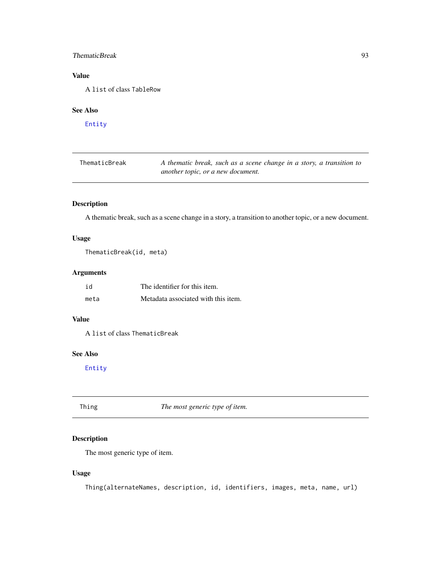### <span id="page-92-1"></span>ThematicBreak 93

### Value

A list of class TableRow

#### See Also

[Entity](#page-35-0)

| ThematicBreak | A thematic break, such as a scene change in a story, a transition to |
|---------------|----------------------------------------------------------------------|
|               | another topic, or a new document.                                    |

### Description

A thematic break, such as a scene change in a story, a transition to another topic, or a new document.

### Usage

ThematicBreak(id, meta)

### Arguments

| id   | The identifier for this item.       |
|------|-------------------------------------|
| meta | Metadata associated with this item. |

#### Value

A list of class ThematicBreak

### See Also

[Entity](#page-35-0)

<span id="page-92-0"></span>Thing *The most generic type of item.*

### Description

The most generic type of item.

### Usage

Thing(alternateNames, description, id, identifiers, images, meta, name, url)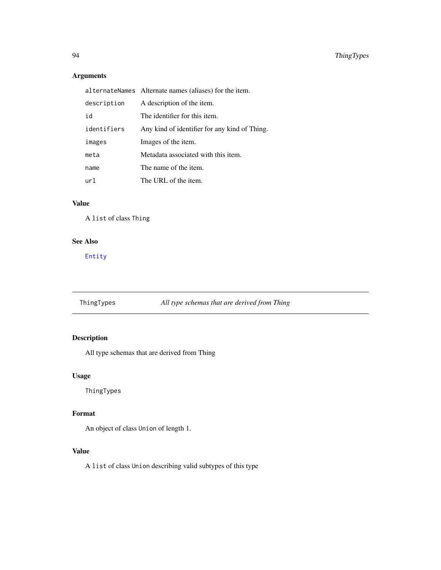### <span id="page-93-0"></span>Arguments

|             | alternateNames Alternate names (aliases) for the item. |
|-------------|--------------------------------------------------------|
| description | A description of the item.                             |
| id          | The identifier for this item.                          |
| identifiers | Any kind of identifier for any kind of Thing.          |
| images      | Images of the item.                                    |
| meta        | Metadata associated with this item.                    |
| name        | The name of the item.                                  |
| url         | The URL of the item.                                   |

### Value

A list of class Thing

### See Also

[Entity](#page-35-0)

### ThingTypes *All type schemas that are derived from Thing*

### Description

All type schemas that are derived from Thing

### Usage

ThingTypes

### Format

An object of class Union of length 1.

### Value

A list of class Union describing valid subtypes of this type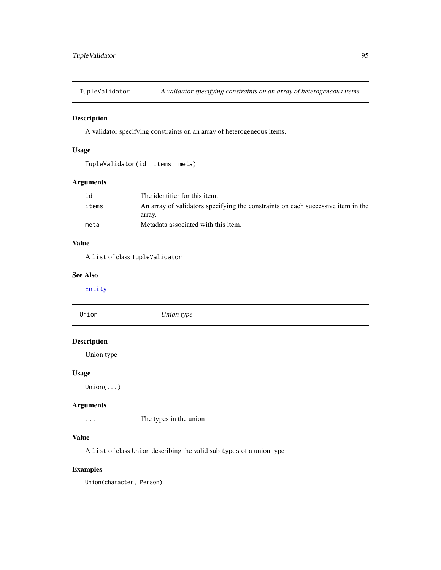<span id="page-94-0"></span>TupleValidator *A validator specifying constraints on an array of heterogeneous items.*

### Description

A validator specifying constraints on an array of heterogeneous items.

### Usage

```
TupleValidator(id, items, meta)
```
### Arguments

| id    | The identifier for this item.                                                    |
|-------|----------------------------------------------------------------------------------|
| items | An array of validators specifying the constraints on each successive item in the |
|       | array.                                                                           |
| meta  | Metadata associated with this item.                                              |

### Value

A list of class TupleValidator

#### See Also

[Entity](#page-35-0)

| Union              | Union type |
|--------------------|------------|
| <b>Description</b> |            |
| Union type         |            |
| <b>Usage</b>       |            |
| Union()            |            |
|                    |            |

### Arguments

... The types in the union

### Value

A list of class Union describing the valid sub types of a union type

### Examples

Union(character, Person)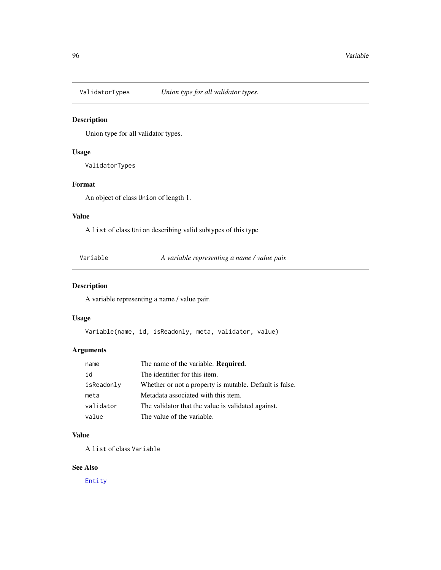<span id="page-95-0"></span>

Union type for all validator types.

#### Usage

ValidatorTypes

#### Format

An object of class Union of length 1.

### Value

A list of class Union describing valid subtypes of this type

Variable *A variable representing a name / value pair.*

### Description

A variable representing a name / value pair.

### Usage

Variable(name, id, isReadonly, meta, validator, value)

### Arguments

| name       | The name of the variable. Required.                     |
|------------|---------------------------------------------------------|
| id         | The identifier for this item.                           |
| isReadonly | Whether or not a property is mutable. Default is false. |
| meta       | Metadata associated with this item.                     |
| validator  | The validator that the value is validated against.      |
| value      | The value of the variable.                              |

### Value

A list of class Variable

### See Also

[Entity](#page-35-0)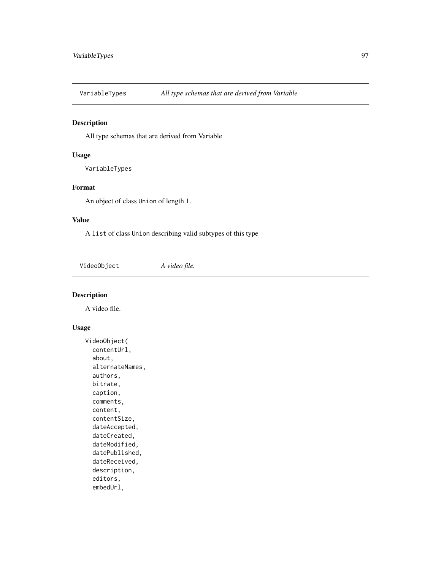<span id="page-96-0"></span>

All type schemas that are derived from Variable

### Usage

VariableTypes

### Format

An object of class Union of length 1.

#### Value

A list of class Union describing valid subtypes of this type

VideoObject *A video file.*

### Description

A video file.

### Usage

```
VideoObject(
  contentUrl,
  about,
  alternateNames,
  authors,
 bitrate,
  caption,
  comments,
  content,
  contentSize,
  dateAccepted,
  dateCreated,
  dateModified,
  datePublished,
  dateReceived,
  description,
  editors,
  embedUrl,
```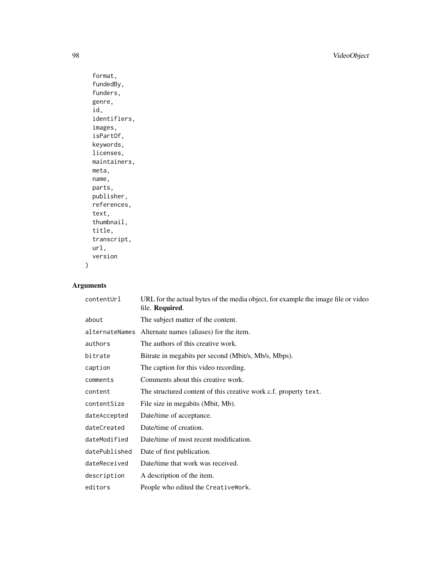98 VideoObject

```
format,
fundedBy,
funders,
genre,
id,
identifiers,
images,
isPartOf,
keywords,
licenses,
maintainers,
meta,
name,
parts,
publisher,
references,
text,
thumbnail,
title,
transcript,
url,
version
```
### Arguments

)

| contentUrl    | URL for the actual bytes of the media object, for example the image file or video<br>file. Required. |
|---------------|------------------------------------------------------------------------------------------------------|
| about         | The subject matter of the content.                                                                   |
|               | alternateNames Alternate names (aliases) for the item.                                               |
| authors       | The authors of this creative work.                                                                   |
| bitrate       | Bitrate in megabits per second (Mbit/s, Mb/s, Mbps).                                                 |
| caption       | The caption for this video recording.                                                                |
| comments      | Comments about this creative work.                                                                   |
| content       | The structured content of this creative work c.f. property text.                                     |
| contentSize   | File size in megabits (Mbit, Mb).                                                                    |
| dateAccepted  | Date/time of acceptance.                                                                             |
| dateCreated   | Date/time of creation.                                                                               |
| dateModified  | Date/time of most recent modification.                                                               |
| datePublished | Date of first publication.                                                                           |
| dateReceived  | Date/time that work was received.                                                                    |
| description   | A description of the item.                                                                           |
| editors       | People who edited the CreativeWork.                                                                  |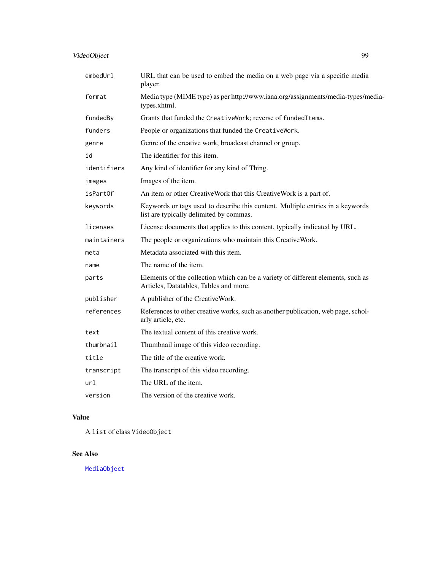### <span id="page-98-0"></span>VideoObject 99

| embedUr1    | URL that can be used to embed the media on a web page via a specific media<br>player.                                      |
|-------------|----------------------------------------------------------------------------------------------------------------------------|
| format      | Media type (MIME type) as per http://www.iana.org/assignments/media-types/media-<br>types.xhtml.                           |
| fundedBy    | Grants that funded the CreativeWork; reverse of fundedItems.                                                               |
| funders     | People or organizations that funded the CreativeWork.                                                                      |
| genre       | Genre of the creative work, broadcast channel or group.                                                                    |
| id          | The identifier for this item.                                                                                              |
| identifiers | Any kind of identifier for any kind of Thing.                                                                              |
| images      | Images of the item.                                                                                                        |
| isPartOf    | An item or other CreativeWork that this CreativeWork is a part of.                                                         |
| keywords    | Keywords or tags used to describe this content. Multiple entries in a keywords<br>list are typically delimited by commas.  |
| licenses    | License documents that applies to this content, typically indicated by URL.                                                |
| maintainers | The people or organizations who maintain this CreativeWork.                                                                |
| meta        | Metadata associated with this item.                                                                                        |
| name        | The name of the item.                                                                                                      |
| parts       | Elements of the collection which can be a variety of different elements, such as<br>Articles, Datatables, Tables and more. |
| publisher   | A publisher of the CreativeWork.                                                                                           |
| references  | References to other creative works, such as another publication, web page, schol-<br>arly article, etc.                    |
| text        | The textual content of this creative work.                                                                                 |
| thumbnail   | Thumbnail image of this video recording.                                                                                   |
| title       | The title of the creative work.                                                                                            |
| transcript  | The transcript of this video recording.                                                                                    |
| url         | The URL of the item.                                                                                                       |
| version     | The version of the creative work.                                                                                          |

### Value

A list of class VideoObject

### See Also

[MediaObject](#page-54-0)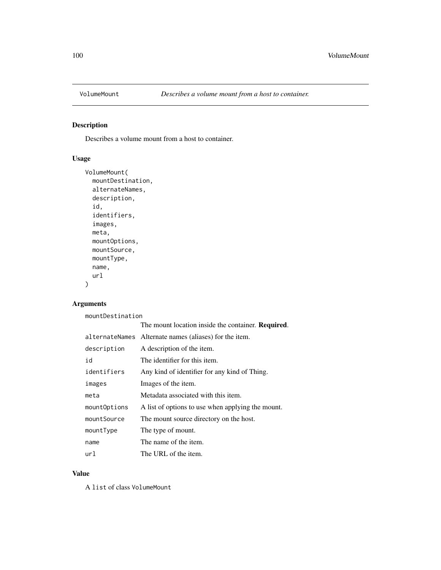<span id="page-99-0"></span>

Describes a volume mount from a host to container.

### Usage

```
VolumeMount(
 mountDestination,
 alternateNames,
  description,
  id,
  identifiers,
  images,
 meta,
 mountOptions,
 mountSource,
 mountType,
 name,
  url
)
```
### Arguments

mountDestination

|              | The mount location inside the container. <b>Required.</b> |
|--------------|-----------------------------------------------------------|
|              | alternateNames Alternate names (aliases) for the item.    |
| description  | A description of the item.                                |
| id           | The identifier for this item.                             |
| identifiers  | Any kind of identifier for any kind of Thing.             |
| images       | Images of the item.                                       |
| meta         | Metadata associated with this item.                       |
| mountOptions | A list of options to use when applying the mount.         |
| mountSource  | The mount source directory on the host.                   |
| mountType    | The type of mount.                                        |
| name         | The name of the item.                                     |
| url          | The URL of the item.                                      |

### Value

A list of class VolumeMount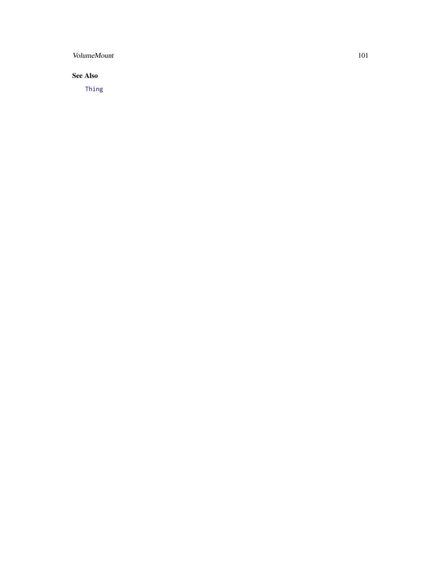### <span id="page-100-0"></span>VolumeMount 101

### See Also

[Thing](#page-92-0)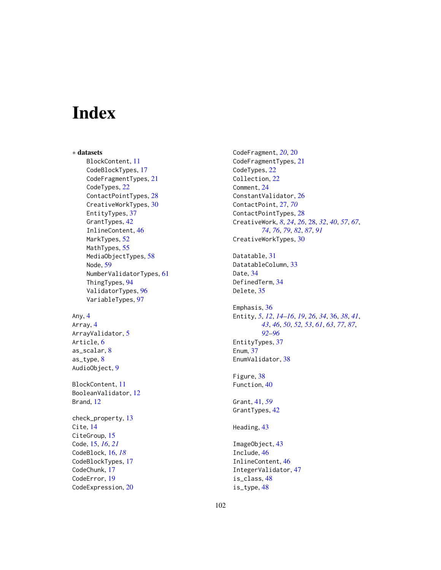# Index

∗ datasets BlockContent, [11](#page-10-0) CodeBlockTypes, [17](#page-16-0) CodeFragmentTypes, [21](#page-20-0) CodeTypes, [22](#page-21-0) ContactPointTypes, [28](#page-27-1) CreativeWorkTypes, [30](#page-29-0) EntityTypes, [37](#page-36-0) GrantTypes, [42](#page-41-0) InlineContent, [46](#page-45-0) MarkTypes, [52](#page-51-1) MathTypes, [55](#page-54-1) MediaObjectTypes, [58](#page-57-0) Node, [59](#page-58-0) NumberValidatorTypes, [61](#page-60-0) ThingTypes, [94](#page-93-0) ValidatorTypes, [96](#page-95-0) VariableTypes, [97](#page-96-0)

### Any, [4](#page-3-0) Array, [4](#page-3-0) ArrayValidator, [5](#page-4-0) Article, [6](#page-5-0) as\_scalar, [8](#page-7-0) as\_type, [8](#page-7-0)

AudioObject, [9](#page-8-0)

BlockContent, [11](#page-10-0) BooleanValidator, [12](#page-11-0) Brand, [12](#page-11-0)

check\_property, [13](#page-12-0) Cite, [14](#page-13-0) CiteGroup, [15](#page-14-0) Code, [15,](#page-14-0) *[16](#page-15-0)*, *[21](#page-20-0)* CodeBlock, [16,](#page-15-0) *[18](#page-17-0)* CodeBlockTypes, [17](#page-16-0) CodeChunk, [17](#page-16-0) CodeError, [19](#page-18-0) CodeExpression, [20](#page-19-0) CodeFragment, *[20](#page-19-0)*, [20](#page-19-0) CodeFragmentTypes, [21](#page-20-0) CodeTypes, [22](#page-21-0) Collection, [22](#page-21-0) Comment, [24](#page-23-0) ConstantValidator, [26](#page-25-0) ContactPoint, [27,](#page-26-0) *[70](#page-69-0)* ContactPointTypes, [28](#page-27-1) CreativeWork, *[8](#page-7-0)*, *[24](#page-23-0)*, *[26](#page-25-0)*, [28,](#page-27-1) *[32](#page-31-0)*, *[40](#page-39-0)*, *[57](#page-56-0)*, *[67](#page-66-0)*, *[74](#page-73-0)*, *[76](#page-75-0)*, *[79](#page-78-0)*, *[82](#page-81-0)*, *[87](#page-86-0)*, *[91](#page-90-0)* CreativeWorkTypes, [30](#page-29-0) Datatable, [31](#page-30-0) DatatableColumn, [33](#page-32-0) Date, [34](#page-33-0) DefinedTerm, [34](#page-33-0) Delete, [35](#page-34-0) Emphasis, [36](#page-35-1) Entity, *[5](#page-4-0)*, *[12](#page-11-0)*, *[14](#page-13-0)[–16](#page-15-0)*, *[19](#page-18-0)*, *[26](#page-25-0)*, *[34](#page-33-0)*, [36,](#page-35-1) *[38](#page-37-0)*, *[41](#page-40-0)*, *[43](#page-42-0)*, *[46](#page-45-0)*, *[50](#page-49-0)*, *[52,](#page-51-1) [53](#page-52-0)*, *[61](#page-60-0)*, *[63](#page-62-0)*, *[77](#page-76-0)*, *[87](#page-86-0)*, *[92](#page-91-0)[–96](#page-95-0)* EntityTypes, [37](#page-36-0) Enum, [37](#page-36-0) EnumValidator, [38](#page-37-0) Figure, [38](#page-37-0) Function, [40](#page-39-0) Grant, [41,](#page-40-0) *[59](#page-58-0)* GrantTypes, [42](#page-41-0) Heading, [43](#page-42-0) ImageObject, [43](#page-42-0) Include, [46](#page-45-0)

InlineContent, [46](#page-45-0) IntegerValidator, [47](#page-46-0)

is\_class, [48](#page-47-0) is\_type, [48](#page-47-0)